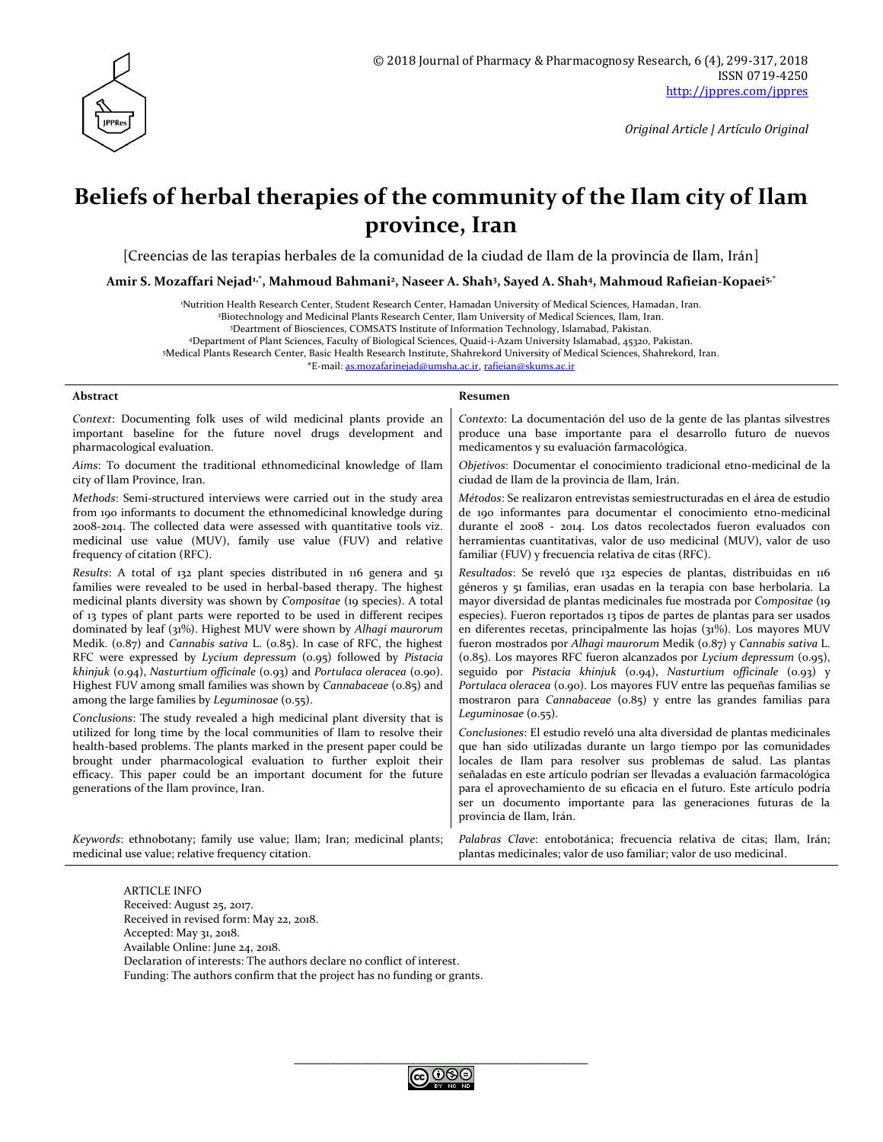

# **Beliefs of herbal therapies of the community of the Ilam city of Ilam province, Iran**

[Creencias de las terapias herbales de la comunidad de la ciudad de Ilam de la provincia de Ilam, Irán]

**Amir S. Mozaffari Nejad1,\*, Mahmoud Bahmani<sup>2</sup> , Naseer A. Shah<sup>3</sup> , Sayed A. Shah<sup>4</sup> , Mahmoud Rafieian-Kopaei5,\***

<sup>1</sup>Nutrition Health Research Center, Student Research Center, Hamadan University of Medical Sciences, Hamadan, Iran.

<sup>2</sup>Biotechnology and Medicinal Plants Research Center, Ilam University of Medical Sciences, Ilam, Iran.

<sup>3</sup>Deartment of Biosciences, COMSATS Institute of Information Technology, Islamabad, Pakistan.

<sup>4</sup>Department of Plant Sciences, Faculty of Biological Sciences, Quaid-i-Azam University Islamabad, 45320, Pakistan.

<sup>5</sup>Medical Plants Research Center, Basic Health Research Institute, Shahrekord University of Medical Sciences, Shahrekord, Iran.

\*E-mail: [as.mozafarinejad@umsha.ac.ir,](mailto:as.mozafarinejad@umsha.ac.ir) [rafieian@skums.ac.ir](mailto:rafieian@skums.ac.ir)

#### **Abstract Resumen**

| Context: Documenting folk uses of wild medicinal plants provide an                   | Contexto: La documentación del uso de la gente de las plantas silvestres                    |
|--------------------------------------------------------------------------------------|---------------------------------------------------------------------------------------------|
| important baseline for the future novel drugs development and                        | produce una base importante para el desarrollo futuro de nuevos                             |
| pharmacological evaluation.                                                          | medicamentos y su evaluación farmacológica.                                                 |
| Aims: To document the traditional ethnomedicinal knowledge of Ilam                   | Objetivos: Documentar el conocimiento tradicional etno-medicinal de la                      |
| city of Ilam Province, Iran.                                                         | ciudad de Ilam de la provincia de Ilam, Irán.                                               |
| Methods: Semi-structured interviews were carried out in the study area               | Métodos: Se realizaron entrevistas semiestructuradas en el área de estudio                  |
| from 190 informants to document the ethnomedicinal knowledge during                  | de 190 informantes para documentar el conocimiento etno-medicinal                           |
| 2008-2014. The collected data were assessed with quantitative tools viz.             | durante el 2008 - 2014. Los datos recolectados fueron evaluados con                         |
| medicinal use value (MUV), family use value (FUV) and relative                       | herramientas cuantitativas, valor de uso medicinal (MUV), valor de uso                      |
| frequency of citation (RFC).                                                         | familiar (FUV) y frecuencia relativa de citas (RFC).                                        |
| Results: A total of 132 plant species distributed in 116 genera and 51               | Resultados: Se reveló que 132 especies de plantas, distribuidas en 116                      |
| families were revealed to be used in herbal-based therapy. The highest               | géneros y 51 familias, eran usadas en la terapia con base herbolaria. La                    |
| medicinal plants diversity was shown by Compositae (19 species). A total             | mayor diversidad de plantas medicinales fue mostrada por Compositae (19                     |
| of 13 types of plant parts were reported to be used in different recipes             | especies). Fueron reportados 13 tipos de partes de plantas para ser usados                  |
| dominated by leaf (31%). Highest MUV were shown by Alhaqi maurorum                   | en diferentes recetas, principalmente las hojas $(31\%)$ . Los mayores MUV                  |
| Medik. $(0.87)$ and <i>Cannabis sativa</i> L. $(0.85)$ . In case of RFC, the highest | fueron mostrados por Alhagi maurorum Medik (o.87) y Cannabis sativa L.                      |
| RFC were expressed by Lycium depressum (0.95) followed by Pistacia                   | (0.85). Los mayores RFC fueron alcanzados por Lycium depressum (0.95),                      |
| khinjuk (0.94), Nasturtium officinale (0.93) and Portulaca oleracea (0.90).          | seguido por Pistacia khinjuk (0.94), Nasturtium officinale (0.93) y                         |
| Highest FUV among small families was shown by Cannabaceae (0.85) and                 | Portulaca oleracea (0.90). Los mayores FUV entre las pequeñas familias se                   |
| among the large families by Leguminosae (0.55).                                      | mostraron para Cannabaceae (0.85) y entre las grandes familias para                         |
| Conclusions: The study revealed a high medicinal plant diversity that is             | Leguminosae $(0.55)$ .                                                                      |
| utilized for long time by the local communities of Ilam to resolve their             | Conclusiones: El estudio reveló una alta diversidad de plantas medicinales                  |
| health-based problems. The plants marked in the present paper could be               | que han sido utilizadas durante un largo tiempo por las comunidades                         |
| brought under pharmacological evaluation to further exploit their                    | locales de Ilam para resolver sus problemas de salud. Las plantas                           |
| efficacy. This paper could be an important document for the future                   | señaladas en este artículo podrían ser llevadas a evaluación farmacológica                  |
| generations of the Ilam province, Iran.                                              | para el aprovechamiento de su eficacia en el futuro. Este artículo podría                   |
|                                                                                      | ser un documento importante para las generaciones futuras de la<br>provincia de Ilam, Irán. |
| Keywords: ethnobotany; family use value; Ilam; Iran; medicinal plants;               | Palabras Clave: entobotánica; frecuencia relativa de citas; Ilam, Irán;                     |
| medicinal use value; relative frequency citation.                                    | plantas medicinales; valor de uso familiar; valor de uso medicinal.                         |

ARTICLE INFO Received: August 25, 2017. Received in revised form: May 22, 2018. Accepted: May 31, 2018. Available Online: June 24, 2018. Declaration of interests: The authors declare no conflict of interest. Funding: The authors confirm that the project has no funding or grants.

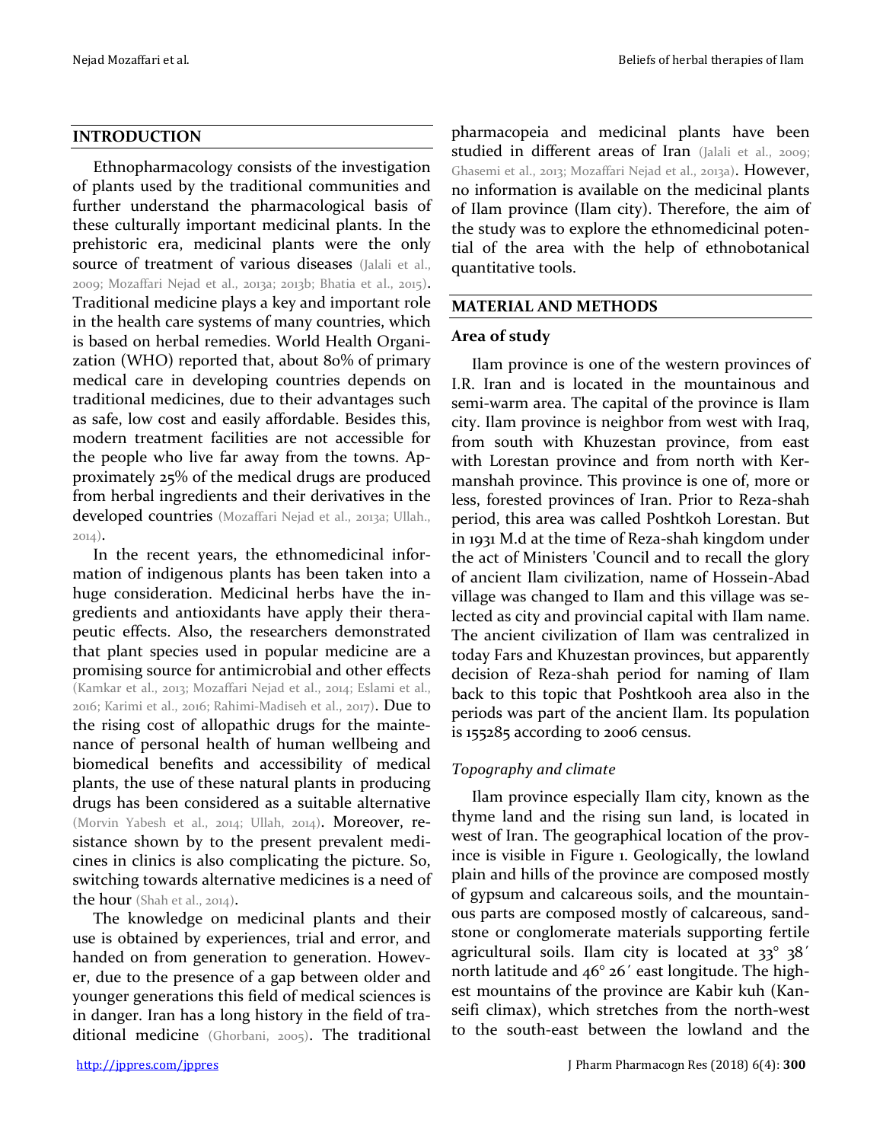#### **INTRODUCTION**

Ethnopharmacology consists of the investigation of plants used by the traditional communities and further understand the pharmacological basis of these culturally important medicinal plants. In the prehistoric era, medicinal plants were the only source of treatment of various diseases (Jalali et al., 2009; Mozaffari Nejad et al., 2013a; 2013b; Bhatia et al., 2015). Traditional medicine plays a key and important role in the health care systems of many countries, which is based on herbal remedies. World Health Organization (WHO) reported that, about 80% of primary medical care in developing countries depends on traditional medicines, due to their advantages such as safe, low cost and easily affordable. Besides this, modern treatment facilities are not accessible for the people who live far away from the towns. Approximately 25% of the medical drugs are produced from herbal ingredients and their derivatives in the developed countries (Mozaffari Nejad et al., 2013a; Ullah., 2014).

In the recent years, the ethnomedicinal information of indigenous plants has been taken into a huge consideration. Medicinal herbs have the ingredients and antioxidants have apply their therapeutic effects. Also, the researchers demonstrated that plant species used in popular medicine are a promising source for antimicrobial and other effects (Kamkar et al., 2013; Mozaffari Nejad et al., 2014; Eslami et al., 2016; Karimi et al., 2016; Rahimi-Madiseh et al., 2017). Due to the rising cost of allopathic drugs for the maintenance of personal health of human wellbeing and biomedical benefits and accessibility of medical plants, the use of these natural plants in producing drugs has been considered as a suitable alternative (Morvin Yabesh et al., 2014; Ullah, 2014). Moreover, resistance shown by to the present prevalent medicines in clinics is also complicating the picture. So, switching towards alternative medicines is a need of the hour (Shah et al., 2014).

The knowledge on medicinal plants and their use is obtained by experiences, trial and error, and handed on from generation to generation. However, due to the presence of a gap between older and younger generations this field of medical sciences is in danger. Iran has a long history in the field of traditional medicine (Ghorbani, 2005). The traditional

pharmacopeia and medicinal plants have been studied in different areas of Iran (Jalali et al., 2009; Ghasemi et al., 2013; Mozaffari Nejad et al., 2013a). However, no information is available on the medicinal plants of Ilam province (Ilam city). Therefore, the aim of the study was to explore the ethnomedicinal potential of the area with the help of ethnobotanical quantitative tools.

### **MATERIAL AND METHODS**

### **Area of study**

Ilam province is one of the western provinces of I.R. Iran and is located in the mountainous and semi-warm area. The capital of the province is Ilam city. Ilam province is neighbor from west with Iraq, from south with Khuzestan province, from east with Lorestan province and from north with Kermanshah province. This province is one of, more or less, forested provinces of Iran. Prior to Reza-shah period, this area was called Poshtkoh Lorestan. But in 1931 M.d at the time of Reza-shah kingdom under the act of Ministers 'Council and to recall the glory of ancient Ilam civilization, name of Hossein-Abad village was changed to Ilam and this village was selected as city and provincial capital with Ilam name. The ancient civilization of Ilam was centralized in today Fars and Khuzestan provinces, but apparently decision of Reza-shah period for naming of Ilam back to this topic that Poshtkooh area also in the periods was part of the ancient Ilam. Its population is 155285 according to 2006 census.

# *Topography and climate*

Ilam province especially Ilam city, known as the thyme land and the rising sun land, is located in west of Iran. The geographical location of the province is visible in Figure 1. Geologically, the lowland plain and hills of the province are composed mostly of gypsum and calcareous soils, and the mountainous parts are composed mostly of calcareous, sandstone or conglomerate materials supporting fertile agricultural soils. Ilam city is located at 33° 38´ north latitude and 46° 26´ east longitude. The highest mountains of the province are Kabir kuh (Kanseifi climax), which stretches from the north-west to the south-east between the lowland and the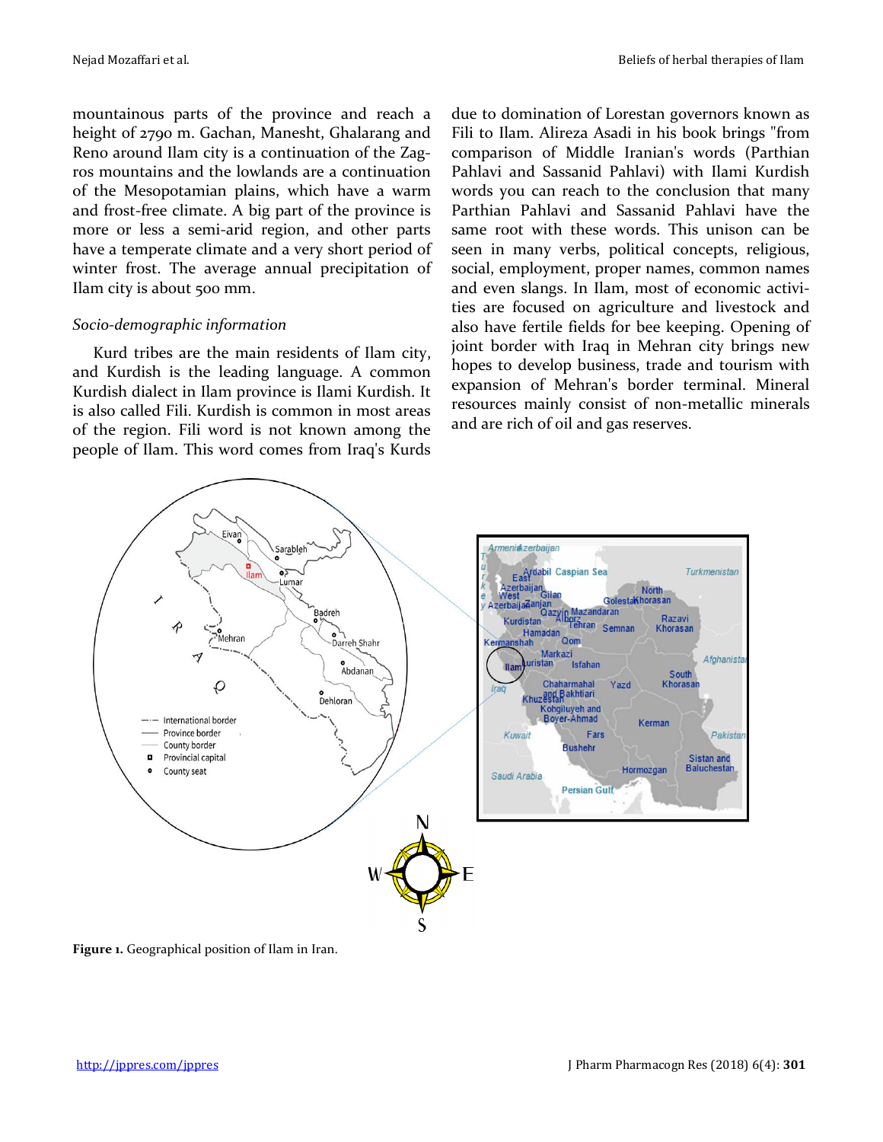mountainous parts of the province and reach a height of 2790 m. Gachan, Manesht, Ghalarang and Reno around Ilam city is a continuation of the Zagros mountains and the lowlands are a continuation of the Mesopotamian plains, which have a warm and frost-free climate. A big part of the province is more or less a semi-arid region, and other parts have a temperate climate and a very short period of winter frost. The average annual precipitation of Ilam city is about 500 mm.

### *Socio-demographic information*

Kurd tribes are the main residents of Ilam city, and Kurdish is the leading language. A common Kurdish dialect in Ilam province is Ilami Kurdish. It is also called Fili. Kurdish is common in most areas of the region. Fili word is not known among the people of Ilam. This word comes from Iraq's Kurds due to domination of Lorestan governors known as Fili to Ilam. Alireza Asadi in his book brings "from comparison of Middle Iranian's words (Parthian Pahlavi and Sassanid Pahlavi) with Ilami Kurdish words you can reach to the conclusion that many Parthian Pahlavi and Sassanid Pahlavi have the same root with these words. This unison can be seen in many verbs, political concepts, religious, social, employment, proper names, common names and even slangs. In Ilam, most of economic activities are focused on agriculture and livestock and also have fertile fields for bee keeping. Opening of joint border with Iraq in Mehran city brings new hopes to develop business, trade and tourism with expansion of Mehran's border terminal. Mineral resources mainly consist of non-metallic minerals and are rich of oil and gas reserves.



**Figure 1.** Geographical position of Ilam in Iran.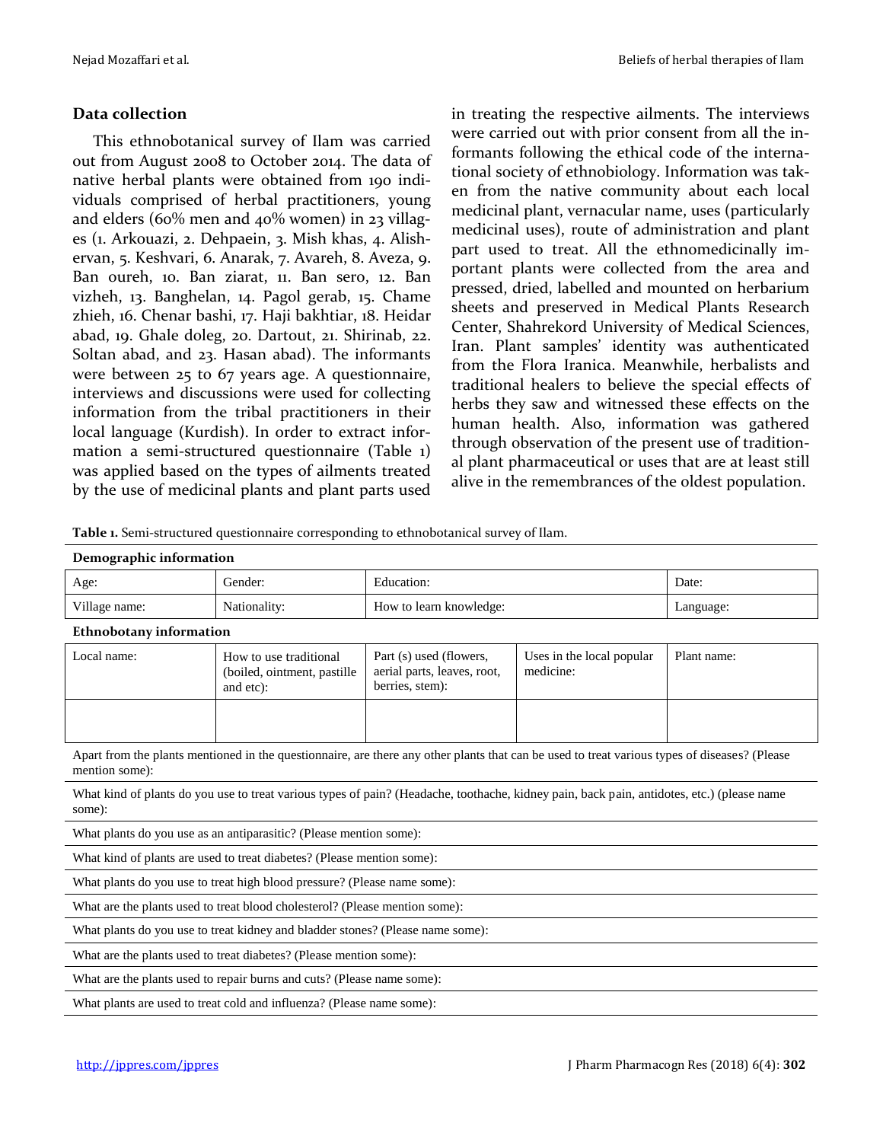### **Data collection**

This ethnobotanical survey of Ilam was carried out from August 2008 to October 2014. The data of native herbal plants were obtained from 190 individuals comprised of herbal practitioners, young and elders (60% men and 40% women) in 23 villages (1. Arkouazi, 2. Dehpaein, 3. Mish khas, 4. Alishervan, 5. Keshvari, 6. Anarak, 7. Avareh, 8. Aveza, 9. Ban oureh, 10. Ban ziarat, 11. Ban sero, 12. Ban vizheh, 13. Banghelan, 14. Pagol gerab, 15. Chame zhieh, 16. Chenar bashi, 17. Haji bakhtiar, 18. Heidar abad, 19. Ghale doleg, 20. Dartout, 21. Shirinab, 22. Soltan abad, and 23. Hasan abad). The informants were between 25 to 67 years age. A questionnaire, interviews and discussions were used for collecting information from the tribal practitioners in their local language (Kurdish). In order to extract information a semi-structured questionnaire (Table 1) was applied based on the types of ailments treated by the use of medicinal plants and plant parts used

in treating the respective ailments. The interviews were carried out with prior consent from all the informants following the ethical code of the international society of ethnobiology. Information was taken from the native community about each local medicinal plant, vernacular name, uses (particularly medicinal uses), route of administration and plant part used to treat. All the ethnomedicinally important plants were collected from the area and pressed, dried, labelled and mounted on herbarium sheets and preserved in Medical Plants Research Center, Shahrekord University of Medical Sciences, Iran. Plant samples' identity was authenticated from the Flora Iranica. Meanwhile, herbalists and traditional healers to believe the special effects of herbs they saw and witnessed these effects on the human health. Also, information was gathered through observation of the present use of traditional plant pharmaceutical or uses that are at least still alive in the remembrances of the oldest population.

| Demographic information        |                                                                                                                                               |                                                                           |                                        |             |
|--------------------------------|-----------------------------------------------------------------------------------------------------------------------------------------------|---------------------------------------------------------------------------|----------------------------------------|-------------|
| Age:                           | Gender:                                                                                                                                       | Education:                                                                | Date:                                  |             |
| Village name:                  | Nationality:                                                                                                                                  | How to learn knowledge:                                                   | Language:                              |             |
| <b>Ethnobotany information</b> |                                                                                                                                               |                                                                           |                                        |             |
| Local name:                    | How to use traditional<br>(boiled, ointment, pastille<br>and etc):                                                                            | Part (s) used (flowers,<br>aerial parts, leaves, root,<br>berries, stem): | Uses in the local popular<br>medicine: | Plant name: |
|                                |                                                                                                                                               |                                                                           |                                        |             |
| mention some):                 | Apart from the plants mentioned in the questionnaire, are there any other plants that can be used to treat various types of diseases? (Please |                                                                           |                                        |             |
| some):                         | What kind of plants do you use to treat various types of pain? (Headache, toothache, kidney pain, back pain, antidotes, etc.) (please name    |                                                                           |                                        |             |
|                                | What plants do you use as an antiparasitic? (Please mention some):                                                                            |                                                                           |                                        |             |
|                                | What kind of plants are used to treat diabetes? (Please mention some):                                                                        |                                                                           |                                        |             |
|                                | What plants do you use to treat high blood pressure? (Please name some):                                                                      |                                                                           |                                        |             |
|                                | What are the plants used to treat blood cholesterol? (Please mention some):                                                                   |                                                                           |                                        |             |
|                                | What plants do you use to treat kidney and bladder stones? (Please name some):                                                                |                                                                           |                                        |             |
|                                | What are the plants used to treat diabetes? (Please mention some):                                                                            |                                                                           |                                        |             |
|                                | What are the plants used to repair burns and cuts? (Please name some):                                                                        |                                                                           |                                        |             |
|                                | What plants are used to treat cold and influenza? (Please name some):                                                                         |                                                                           |                                        |             |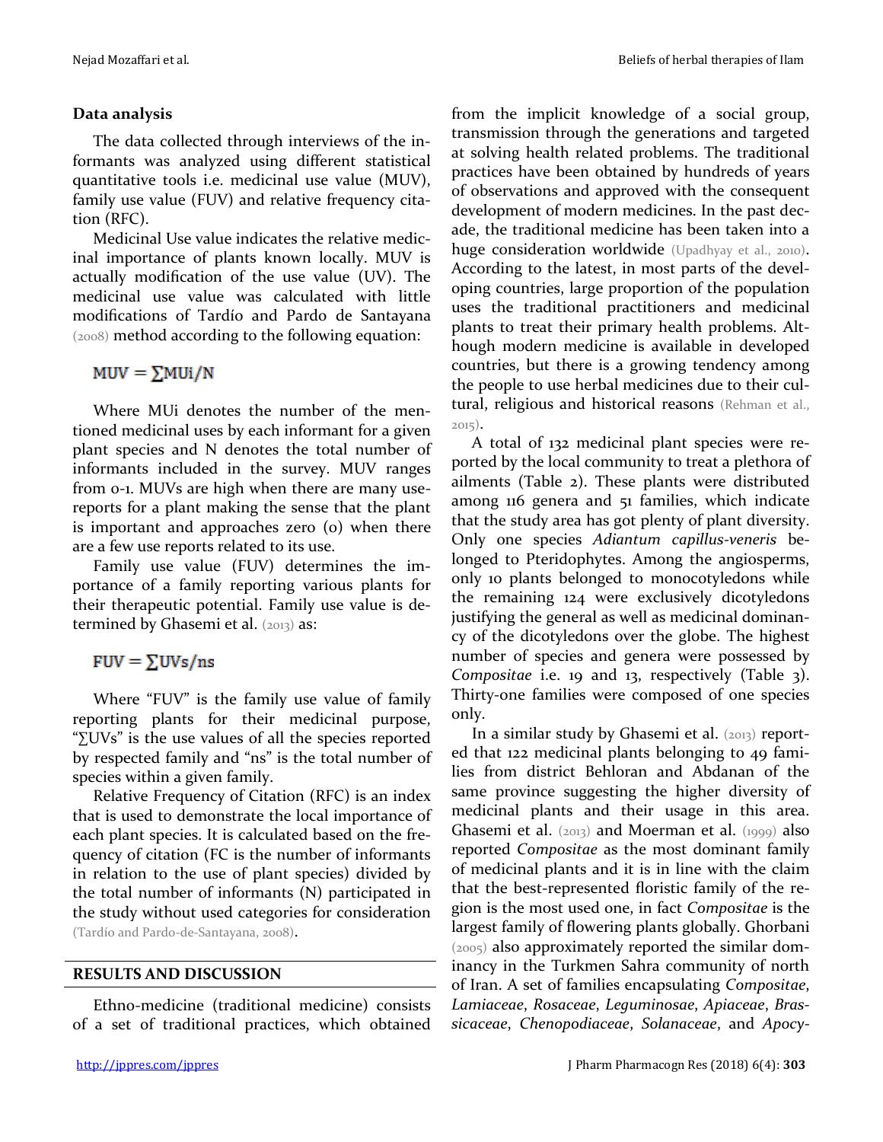## **Data analysis**

The data collected through interviews of the informants was analyzed using different statistical quantitative tools i.e. medicinal use value (MUV), family use value (FUV) and relative frequency citation (RFC).

Medicinal Use value indicates the relative medicinal importance of plants known locally. MUV is actually modification of the use value (UV). The medicinal use value was calculated with little modifications of Tardío and Pardo de Santayana (2008) method according to the following equation:

 $MUV = \sum MUi/N$ 

Where MUi denotes the number of the mentioned medicinal uses by each informant for a given plant species and N denotes the total number of informants included in the survey. MUV ranges from 0-1. MUVs are high when there are many usereports for a plant making the sense that the plant is important and approaches zero (o) when there are a few use reports related to its use.

Family use value (FUV) determines the importance of a family reporting various plants for their therapeutic potential. Family use value is determined by Ghasemi et al.  $(2013)$  as:

 $FUV = \sum UVs/ns$ 

Where "FUV" is the family use value of family reporting plants for their medicinal purpose, "∑UVs" is the use values of all the species reported by respected family and "ns" is the total number of species within a given family.

Relative Frequency of Citation (RFC) is an index that is used to demonstrate the local importance of each plant species. It is calculated based on the frequency of citation (FC is the number of informants in relation to the use of plant species) divided by the total number of informants (N) participated in the study without used categories for consideration (Tardío and Pardo-de-Santayana, 2008).

**RESULTS AND DISCUSSION**

Ethno-medicine (traditional medicine) consists of a set of traditional practices, which obtained from the implicit knowledge of a social group, transmission through the generations and targeted at solving health related problems. The traditional practices have been obtained by hundreds of years of observations and approved with the consequent development of modern medicines. In the past decade, the traditional medicine has been taken into a huge consideration worldwide (Upadhyay et al., 2010). According to the latest, in most parts of the developing countries, large proportion of the population uses the traditional practitioners and medicinal plants to treat their primary health problems. Although modern medicine is available in developed countries, but there is a growing tendency among the people to use herbal medicines due to their cultural, religious and historical reasons (Rehman et al., 2015).

A total of 132 medicinal plant species were reported by the local community to treat a plethora of ailments (Table 2). These plants were distributed among 116 genera and 51 families, which indicate that the study area has got plenty of plant diversity. Only one species *Adiantum capillus-veneris* belonged to Pteridophytes. Among the angiosperms, only 10 plants belonged to monocotyledons while the remaining 124 were exclusively dicotyledons justifying the general as well as medicinal dominancy of the dicotyledons over the globe. The highest number of species and genera were possessed by *Compositae* i.e. 19 and 13, respectively (Table 3). Thirty-one families were composed of one species only.

In a similar study by Ghasemi et al. (2013) reported that 122 medicinal plants belonging to 49 families from district Behloran and Abdanan of the same province suggesting the higher diversity of medicinal plants and their usage in this area. Ghasemi et al. (2013) and Moerman et al. (1999) also reported *Compositae* as the most dominant family of medicinal plants and it is in line with the claim that the best-represented floristic family of the region is the most used one, in fact *Compositae* is the largest family of flowering plants globally. Ghorbani (2005) also approximately reported the similar dominancy in the Turkmen Sahra community of north of Iran. A set of families encapsulating *Compositae*, *Lamiaceae*, *Rosaceae*, *Leguminosae*, *Apiaceae*, *Brassicaceae*, *Chenopodiaceae*, *Solanaceae*, and *Apocy-*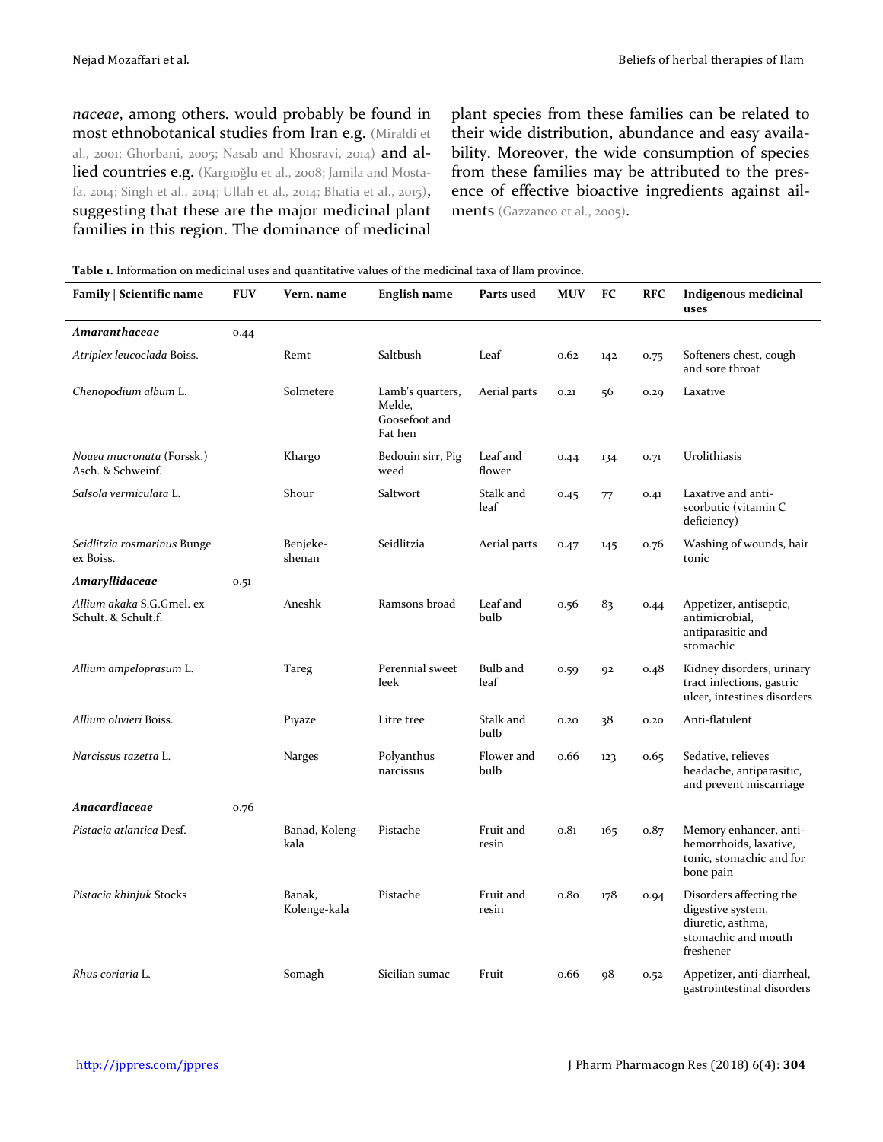*naceae*, among others. would probably be found in most ethnobotanical studies from Iran e.g. (Miraldi et al., 2001; Ghorbani, 2005; Nasab and Khosravi, 2014) and allied countries e.g. (Kargıoğlu et al., 2008; Jamila and Mostafa, 2014; Singh et al., 2014; Ullah et al., 2014; Bhatia et al., 2015), suggesting that these are the major medicinal plant families in this region. The dominance of medicinal plant species from these families can be related to their wide distribution, abundance and easy availability. Moreover, the wide consumption of species from these families may be attributed to the presence of effective bioactive ingredients against ailments (Gazzaneo et al., 2005).

| Family   Scientific name                         | <b>FUV</b> | Vern. name             | <b>English name</b>                                    | Parts used         | <b>MUV</b> | FC  | <b>RFC</b> | <b>Indigenous medicinal</b><br>uses                                                                   |
|--------------------------------------------------|------------|------------------------|--------------------------------------------------------|--------------------|------------|-----|------------|-------------------------------------------------------------------------------------------------------|
| Amaranthaceae                                    | 0.44       |                        |                                                        |                    |            |     |            |                                                                                                       |
| Atriplex leucoclada Boiss.                       |            | Remt                   | Saltbush                                               | Leaf               | 0.62       | 142 | 0.75       | Softeners chest, cough<br>and sore throat                                                             |
| Chenopodium album L.                             |            | Solmetere              | Lamb's quarters,<br>Melde,<br>Goosefoot and<br>Fat hen | Aerial parts       | 0.21       | 56  | 0.29       | Laxative                                                                                              |
| Noaea mucronata (Forssk.)<br>Asch. & Schweinf.   |            | Khargo                 | Bedouin sirr, Pig<br>weed                              | Leaf and<br>flower | 0.44       | 134 | 0.71       | Urolithiasis                                                                                          |
| Salsola vermiculata L.                           |            | Shour                  | Saltwort                                               | Stalk and<br>leaf  | 0.45       | 77  | 0.41       | Laxative and anti-<br>scorbutic (vitamin C<br>deficiency)                                             |
| Seidlitzia rosmarinus Bunge<br>ex Boiss.         |            | Benjeke-<br>shenan     | Seidlitzia                                             | Aerial parts       | 0.47       | 145 | 0.76       | Washing of wounds, hair<br>tonic                                                                      |
| Amaryllidaceae                                   | 0.51       |                        |                                                        |                    |            |     |            |                                                                                                       |
| Allium akaka S.G.Gmel. ex<br>Schult. & Schult.f. |            | Aneshk                 | Ramsons broad                                          | Leaf and<br>bulb   | 0.56       | 83  | 0.44       | Appetizer, antiseptic,<br>antimicrobial,<br>antiparasitic and<br>stomachic                            |
| Allium ampeloprasum L.                           |            | <b>Tareg</b>           | Perennial sweet<br>leek                                | Bulb and<br>leaf   | 0.59       | 92  | 0.48       | Kidney disorders, urinary<br>tract infections, gastric<br>ulcer, intestines disorders                 |
| Allium olivieri Boiss.                           |            | Piyaze                 | Litre tree                                             | Stalk and<br>bulb  | 0.20       | 38  | 0,20       | Anti-flatulent                                                                                        |
| Narcissus tazetta L.                             |            | Narges                 | Polyanthus<br>narcissus                                | Flower and<br>bulb | 0.66       | 123 | 0.65       | Sedative, relieves<br>headache, antiparasitic,<br>and prevent miscarriage                             |
| Anacardiaceae                                    | 0.76       |                        |                                                        |                    |            |     |            |                                                                                                       |
| Pistacia atlantica Desf.                         |            | Banad, Koleng-<br>kala | Pistache                                               | Fruit and<br>resin | 0.81       | 165 | 0.87       | Memory enhancer, anti-<br>hemorrhoids, laxative,<br>tonic, stomachic and for<br>bone pain             |
| Pistacia khinjuk Stocks                          |            | Banak,<br>Kolenge-kala | Pistache                                               | Fruit and<br>resin | 0.80       | 178 | 0.94       | Disorders affecting the<br>digestive system,<br>diuretic, asthma,<br>stomachic and mouth<br>freshener |
| Rhus coriaria L.                                 |            | Somagh                 | Sicilian sumac                                         | Fruit              | o.66       | 98  | 0.52       | Appetizer, anti-diarrheal,<br>gastrointestinal disorders                                              |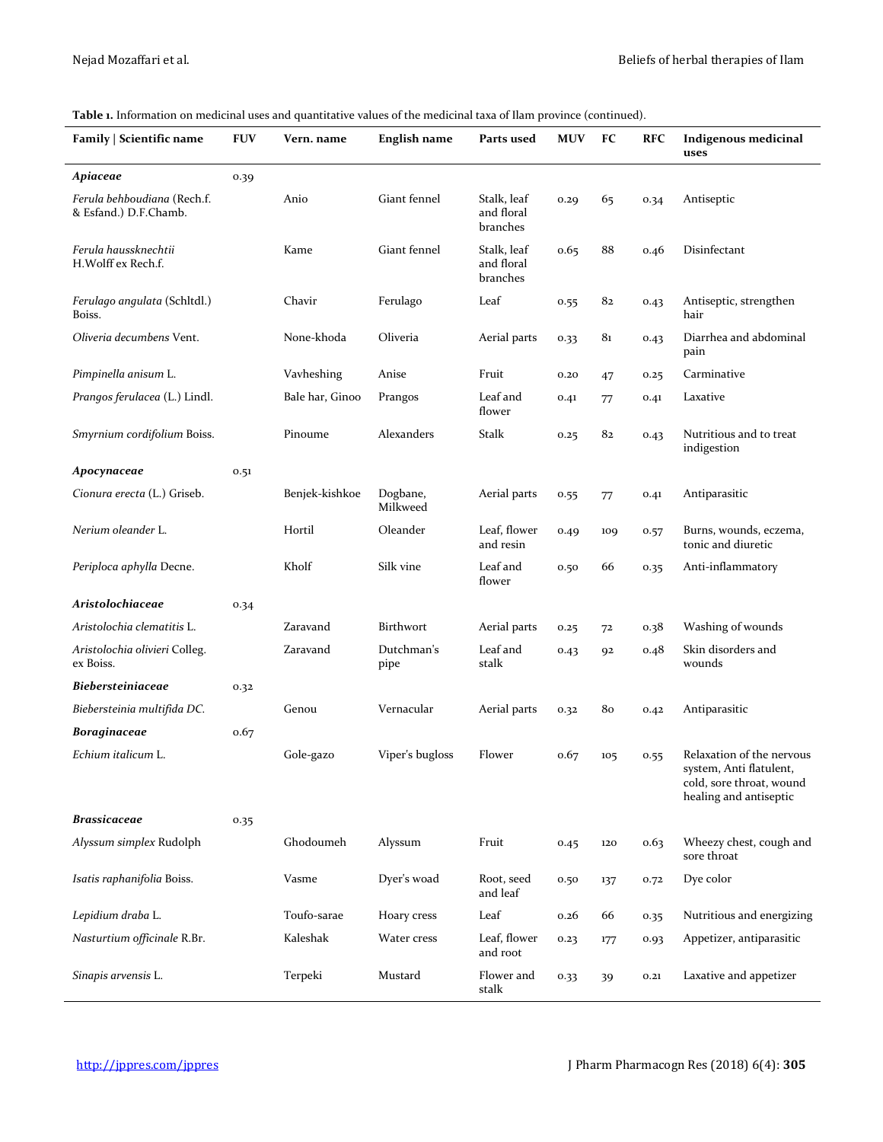| Family   Scientific name                             | <b>FUV</b> | Vern. name      | <b>English name</b>  | Parts used                            | <b>MUV</b> | FC              | <b>RFC</b> | Indigenous medicinal<br>uses                                                                              |
|------------------------------------------------------|------------|-----------------|----------------------|---------------------------------------|------------|-----------------|------------|-----------------------------------------------------------------------------------------------------------|
| Apiaceae                                             | 0.39       |                 |                      |                                       |            |                 |            |                                                                                                           |
| Ferula behboudiana (Rech.f.<br>& Esfand.) D.F.Chamb. |            | Anio            | Giant fennel         | Stalk, leaf<br>and floral<br>branches | 0.29       | 65              | 0.34       | Antiseptic                                                                                                |
| Ferula haussknechtii<br>H.Wolff ex Rech.f.           |            | Kame            | Giant fennel         | Stalk, leaf<br>and floral<br>branches | 0.65       | 88              | 0.46       | Disinfectant                                                                                              |
| Ferulago angulata (Schltdl.)<br>Boiss.               |            | Chavir          | Ferulago             | Leaf                                  | 0.55       | 82              | 0.43       | Antiseptic, strengthen<br>hair                                                                            |
| Oliveria decumbens Vent.                             |            | None-khoda      | Oliveria             | Aerial parts                          | 0.33       | 81              | 0.43       | Diarrhea and abdominal<br>pain                                                                            |
| Pimpinella anisum L.                                 |            | Vavheshing      | Anise                | Fruit                                 | 0.20       | 47              | 0.25       | Carminative                                                                                               |
| Prangos ferulacea (L.) Lindl.                        |            | Bale har, Ginoo | Prangos              | Leaf and<br>flower                    | 0.41       | 77              | 0.41       | Laxative                                                                                                  |
| Smyrnium cordifolium Boiss.                          |            | Pinoume         | Alexanders           | Stalk                                 | 0.25       | 82              | 0.43       | Nutritious and to treat<br>indigestion                                                                    |
| Apocynaceae                                          | 0.51       |                 |                      |                                       |            |                 |            |                                                                                                           |
| Cionura erecta (L.) Griseb.                          |            | Benjek-kishkoe  | Dogbane,<br>Milkweed | Aerial parts                          | 0.55       | 77              | 0.41       | Antiparasitic                                                                                             |
| Nerium oleander L.                                   |            | Hortil          | Oleander             | Leaf, flower<br>and resin             | 0.49       | 109             | 0.57       | Burns, wounds, eczema,<br>tonic and diuretic                                                              |
| Periploca aphylla Decne.                             |            | Kholf           | Silk vine            | Leaf and<br>flower                    | 0.50       | 66              | 0.35       | Anti-inflammatory                                                                                         |
| Aristolochiaceae                                     | 0.34       |                 |                      |                                       |            |                 |            |                                                                                                           |
| Aristolochia clematitis L.                           |            | Zaravand        | Birthwort            | Aerial parts                          | 0.25       | 72              | 0.38       | Washing of wounds                                                                                         |
| Aristolochia olivieri Colleg.<br>ex Boiss.           |            | Zaravand        | Dutchman's<br>pipe   | Leaf and<br>stalk                     | 0.43       | 92              | 0.48       | Skin disorders and<br>wounds                                                                              |
| Biebersteiniaceae                                    | 0.32       |                 |                      |                                       |            |                 |            |                                                                                                           |
| Biebersteinia multifida DC.                          |            | Genou           | Vernacular           | Aerial parts                          | 0.32       | 80              | 0.42       | Antiparasitic                                                                                             |
| <b>Boraginaceae</b>                                  | 0.67       |                 |                      |                                       |            |                 |            |                                                                                                           |
| Echium italicum L.                                   |            | Gole-gazo       | Viper's bugloss      | Flower                                | 0.67       | 10 <sub>5</sub> | 0.55       | Relaxation of the nervous<br>system, Anti flatulent<br>cold, sore throat, wound<br>healing and antiseptic |
| <b>Brassicaceae</b>                                  | 0.35       |                 |                      |                                       |            |                 |            |                                                                                                           |
| Alyssum simplex Rudolph                              |            | Ghodoumeh       | Alyssum              | Fruit                                 | 0.45       | 120             | 0.63       | Wheezy chest, cough and<br>sore throat                                                                    |
| Isatis raphanifolia Boiss.                           |            | Vasme           | Dyer's woad          | Root, seed<br>and leaf                | 0.50       | 137             | 0.72       | Dye color                                                                                                 |
| Lepidium draba L.                                    |            | Toufo-sarae     | Hoary cress          | Leaf                                  | 0.26       | 66              | 0.35       | Nutritious and energizing                                                                                 |
| Nasturtium officinale R.Br.                          |            | Kaleshak        | Water cress          | Leaf, flower<br>and root              | 0.23       | 177             | 0.93       | Appetizer, antiparasitic                                                                                  |
| Sinapis arvensis L.                                  |            | Terpeki         | Mustard              | Flower and<br>stalk                   | 0.33       | 39              | 0.21       | Laxative and appetizer                                                                                    |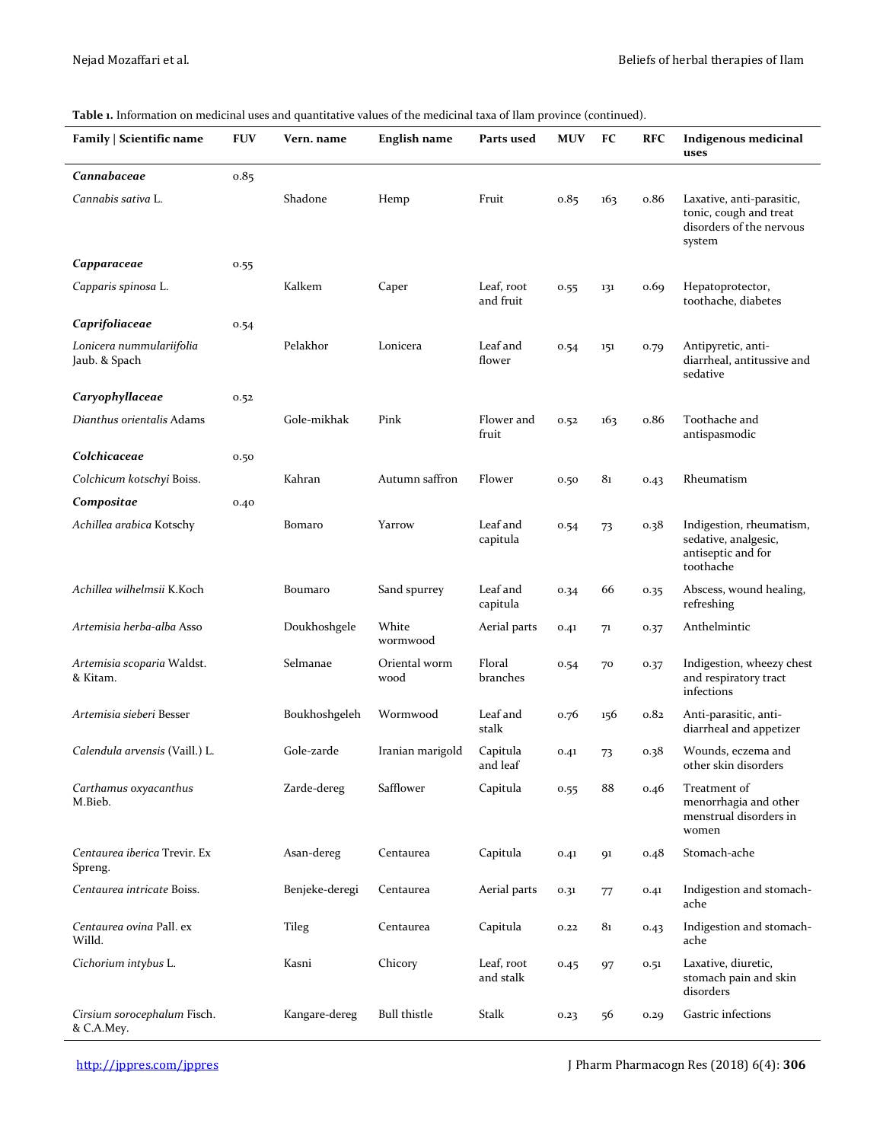| Family   Scientific name                  | <b>FUV</b> | Vern. name     | <b>English name</b>   | Parts used              | <b>MUV</b> | FC  | <b>RFC</b> | <b>Indigenous medicinal</b><br>uses                                                       |
|-------------------------------------------|------------|----------------|-----------------------|-------------------------|------------|-----|------------|-------------------------------------------------------------------------------------------|
| Cannabaceae                               | 0.85       |                |                       |                         |            |     |            |                                                                                           |
| Cannabis sativa L.                        |            | Shadone        | Hemp                  | Fruit                   | 0.85       | 163 | o.86       | Laxative, anti-parasitic,<br>tonic, cough and treat<br>disorders of the nervous<br>system |
| Capparaceae                               | 0.55       |                |                       |                         |            |     |            |                                                                                           |
| Capparis spinosa L.                       |            | Kalkem         | Caper                 | Leaf, root<br>and fruit | 0.55       | 131 | 0.69       | Hepatoprotector,<br>toothache, diabetes                                                   |
| Caprifoliaceae                            | 0.54       |                |                       |                         |            |     |            |                                                                                           |
| Lonicera nummulariifolia<br>Jaub. & Spach |            | Pelakhor       | Lonicera              | Leaf and<br>flower      | 0.54       | 151 | 0.79       | Antipyretic, anti-<br>diarrheal, antitussive and<br>sedative                              |
| Caryophyllaceae                           | 0.52       |                |                       |                         |            |     |            |                                                                                           |
| Dianthus orientalis Adams                 |            | Gole-mikhak    | Pink                  | Flower and<br>fruit     | 0.52       | 163 | o.86       | Toothache and<br>antispasmodic                                                            |
| Colchicaceae                              | 0.50       |                |                       |                         |            |     |            |                                                                                           |
| Colchicum kotschyi Boiss.                 |            | Kahran         | Autumn saffron        | Flower                  | 0.50       | 81  | 0.43       | Rheumatism                                                                                |
| Compositae                                | 0.40       |                |                       |                         |            |     |            |                                                                                           |
| Achillea arabica Kotschy                  |            | Bomaro         | Yarrow                | Leaf and<br>capitula    | 0.54       | 73  | $0.38\,$   | Indigestion, rheumatism,<br>sedative, analgesic,<br>antiseptic and for<br>toothache       |
| Achillea wilhelmsii K.Koch                |            | Boumaro        | Sand spurrey          | Leaf and<br>capitula    | 0.34       | 66  | 0.35       | Abscess, wound healing,<br>refreshing                                                     |
| Artemisia herba-alba Asso                 |            | Doukhoshgele   | White<br>wormwood     | Aerial parts            | 0.41       | 71  | 0.37       | Anthelmintic                                                                              |
| Artemisia scoparia Waldst.<br>& Kitam.    |            | Selmanae       | Oriental worm<br>wood | Floral<br>branches      | 0.54       | 70  | 0.37       | Indigestion, wheezy chest<br>and respiratory tract<br>infections                          |
| Artemisia sieberi Besser                  |            | Boukhoshgeleh  | Wormwood              | Leaf and<br>stalk       | 0.76       | 156 | 0.82       | Anti-parasitic, anti-<br>diarrheal and appetizer                                          |
| Calendula arvensis (Vaill.) L.            |            | Gole-zarde     | Iranian marigold      | Capitula<br>and leaf    | 0.41       | 73  | 0.38       | Wounds, eczema and<br>other skin disorders                                                |
| Carthamus oxyacanthus<br>M.Bieb.          |            | Zarde-dereg    | Safflower             | Capitula                | 0.55       | 88  | 0.46       | Treatment of<br>menorrhagia and other<br>menstrual disorders in<br>women                  |
| Centaurea iberica Trevir. Ex<br>Spreng.   |            | Asan-dereg     | Centaurea             | Capitula                | 0.41       | 91  | 0.48       | Stomach-ache                                                                              |
| Centaurea intricate Boiss.                |            | Benjeke-deregi | Centaurea             | Aerial parts            | 0.31       | 77  | 0.41       | Indigestion and stomach-<br>ache                                                          |
| Centaurea ovina Pall. ex<br>Willd.        |            | Tileg          | Centaurea             | Capitula                | 0.22       | 81  | 0.43       | Indigestion and stomach-<br>ache                                                          |
| Cichorium intybus L.                      |            | Kasni          | Chicory               | Leaf, root<br>and stalk | 0.45       | 97  | 0.51       | Laxative, diuretic,<br>stomach pain and skin<br>disorders                                 |
| Cirsium sorocephalum Fisch.<br>& C.A.Mey. |            | Kangare-dereg  | <b>Bull thistle</b>   | Stalk                   | 0.23       | 56  | 0.29       | Gastric infections                                                                        |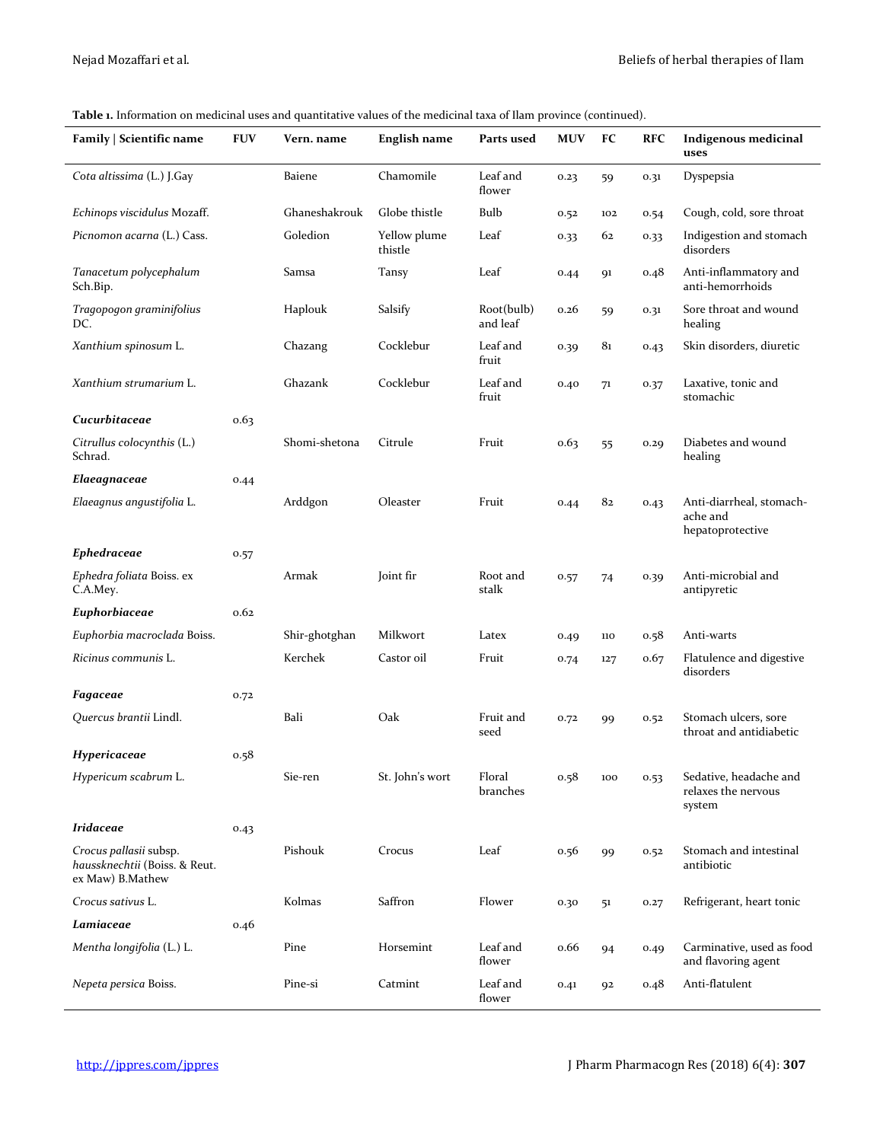| Family   Scientific name                                                    | <b>FUV</b> | Vern. name    | <b>English name</b>     | Parts used             | <b>MUV</b> | FC  | <b>RFC</b> | Indigenous medicinal<br>uses                             |
|-----------------------------------------------------------------------------|------------|---------------|-------------------------|------------------------|------------|-----|------------|----------------------------------------------------------|
| Cota altissima (L.) J.Gay                                                   |            | <b>Baiene</b> | Chamomile               | Leaf and<br>flower     | 0.23       | 59  | 0.31       | Dyspepsia                                                |
| Echinops viscidulus Mozaff.                                                 |            | Ghaneshakrouk | Globe thistle           | Bulb                   | 0.52       | 102 | 0.54       | Cough, cold, sore throat                                 |
| Picnomon acarna (L.) Cass.                                                  |            | Goledion      | Yellow plume<br>thistle | Leaf                   | 0.33       | 62  | 0.33       | Indigestion and stomach<br>disorders                     |
| Tanacetum polycephalum<br>Sch.Bip.                                          |            | Samsa         | Tansy                   | Leaf                   | 0.44       | 91  | 0.48       | Anti-inflammatory and<br>anti-hemorrhoids                |
| Tragopogon graminifolius<br>DC.                                             |            | Haplouk       | Salsify                 | Root(bulb)<br>and leaf | 0.26       | 59  | 0.31       | Sore throat and wound<br>healing                         |
| Xanthium spinosum L.                                                        |            | Chazang       | Cocklebur               | Leaf and<br>fruit      | 0.39       | 81  | 0.43       | Skin disorders, diuretic                                 |
| Xanthium strumarium L.                                                      |            | Ghazank       | Cocklebur               | Leaf and<br>fruit      | 0.40       | 71  | 0.37       | Laxative, tonic and<br>stomachic                         |
| Cucurbitaceae                                                               | 0.63       |               |                         |                        |            |     |            |                                                          |
| Citrullus colocynthis (L.)<br>Schrad.                                       |            | Shomi-shetona | Citrule                 | Fruit                  | 0.63       | 55  | 0.29       | Diabetes and wound<br>healing                            |
| Elaeagnaceae                                                                | 0.44       |               |                         |                        |            |     |            |                                                          |
| Elaeagnus angustifolia L.                                                   |            | Arddgon       | Oleaster                | Fruit                  | 0.44       | 82  | 0.43       | Anti-diarrheal, stomach-<br>ache and<br>hepatoprotective |
| <b>Ephedraceae</b>                                                          | 0.57       |               |                         |                        |            |     |            |                                                          |
| Ephedra foliata Boiss. ex<br>C.A.Mey.                                       |            | Armak         | Joint fir               | Root and<br>stalk      | 0.57       | 74  | 0.39       | Anti-microbial and<br>antipyretic                        |
| Euphorbiaceae                                                               | 0.62       |               |                         |                        |            |     |            |                                                          |
| Euphorbia macroclada Boiss.                                                 |            | Shir-ghotghan | Milkwort                | Latex                  | 0.49       | 110 | 0.58       | Anti-warts                                               |
| Ricinus communis L.                                                         |            | Kerchek       | Castor oil              | Fruit                  | 0.74       | 127 | 0.67       | Flatulence and digestive<br>disorders                    |
| Fagaceae                                                                    | 0.72       |               |                         |                        |            |     |            |                                                          |
| Quercus brantii Lindl.                                                      |            | Bali          | Oak                     | Fruit and<br>seed      | 0.72       | 99  | 0.52       | Stomach ulcers, sore<br>throat and antidiabetic          |
| Hypericaceae                                                                | 0.58       |               |                         |                        |            |     |            |                                                          |
| Hypericum scabrum L.                                                        |            | Sie-ren       | St. John's wort         | Floral<br>branches     | 0.58       | 100 | 0.53       | Sedative, headache and<br>relaxes the nervous<br>system  |
| <b>Iridaceae</b>                                                            | 0.43       |               |                         |                        |            |     |            |                                                          |
| Crocus pallasii subsp.<br>haussknechtii (Boiss. & Reut.<br>ex Maw) B.Mathew |            | Pishouk       | Crocus                  | Leaf                   | 0.56       | 99  | 0.52       | Stomach and intestinal<br>antibiotic                     |
| Crocus sativus L.                                                           |            | Kolmas        | Saffron                 | Flower                 | 0.30       | 51  | 0.27       | Refrigerant, heart tonic                                 |
| Lamiaceae                                                                   | 0.46       |               |                         |                        |            |     |            |                                                          |
| Mentha longifolia (L.) L.                                                   |            | Pine          | Horsemint               | Leaf and<br>flower     | 0.66       | 94  | 0.49       | Carminative, used as food<br>and flavoring agent         |
| Nepeta persica Boiss.                                                       |            | Pine-si       | Catmint                 | Leaf and<br>flower     | 0.41       | 92  | 0.48       | Anti-flatulent                                           |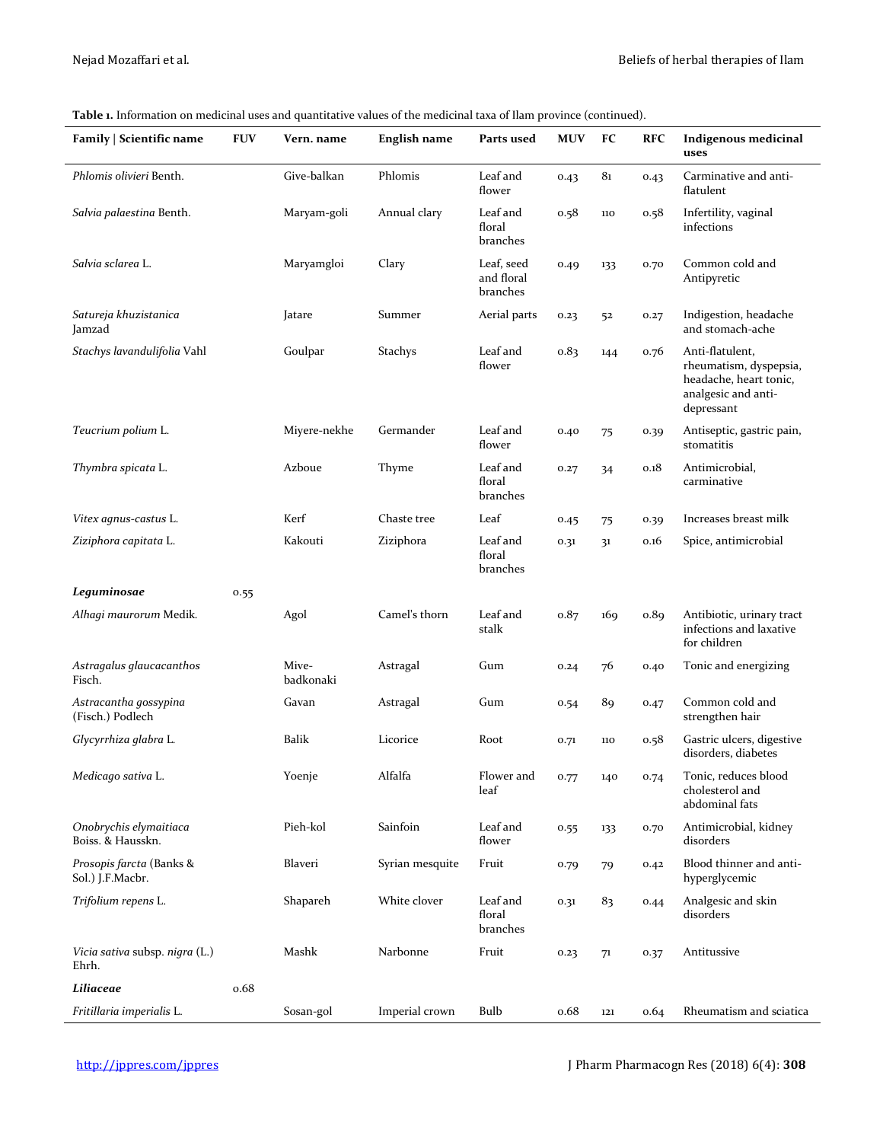| Family   Scientific name                     | <b>FUV</b> | Vern. name         | English name    | Parts used                           | <b>MUV</b> | FC              | <b>RFC</b> | <b>Indigenous medicinal</b><br>uses                                                                      |
|----------------------------------------------|------------|--------------------|-----------------|--------------------------------------|------------|-----------------|------------|----------------------------------------------------------------------------------------------------------|
| Phlomis olivieri Benth.                      |            | Give-balkan        | Phlomis         | Leaf and<br>flower                   | 0.43       | 8 <sub>1</sub>  | 0.43       | Carminative and anti-<br>flatulent                                                                       |
| Salvia palaestina Benth.                     |            | Maryam-goli        | Annual clary    | Leaf and<br>floral<br>branches       | 0.58       | 110             | 0.58       | Infertility, vaginal<br>infections                                                                       |
| Salvia sclarea L.                            |            | Maryamgloi         | Clary           | Leaf, seed<br>and floral<br>branches | 0.49       | 133             | 0.70       | Common cold and<br>Antipyretic                                                                           |
| Satureja khuzistanica<br>Jamzad              |            | Jatare             | Summer          | Aerial parts                         | 0.23       | 52              | 0.27       | Indigestion, headache<br>and stomach-ache                                                                |
| Stachys lavandulifolia Vahl                  |            | Goulpar            | <b>Stachys</b>  | Leaf and<br>flower                   | 0.83       | 144             | 0.76       | Anti-flatulent,<br>rheumatism, dyspepsia,<br>headache, heart tonic,<br>analgesic and anti-<br>depressant |
| Teucrium polium L.                           |            | Miyere-nekhe       | Germander       | Leaf and<br>flower                   | 0.40       | 75              | 0.39       | Antiseptic, gastric pain,<br>stomatitis                                                                  |
| Thymbra spicata L.                           |            | Azboue             | Thyme           | Leaf and<br>floral<br>branches       | 0.27       | 34              | 0.18       | Antimicrobial,<br>carminative                                                                            |
| Vitex agnus-castus L.                        |            | Kerf               | Chaste tree     | Leaf                                 | 0.45       | 75              | 0.39       | Increases breast milk                                                                                    |
| Ziziphora capitata L.                        |            | Kakouti            | Ziziphora       | Leaf and<br>floral<br>branches       | 0.31       | 31              | 0.16       | Spice, antimicrobial                                                                                     |
| Leguminosae                                  | 0.55       |                    |                 |                                      |            |                 |            |                                                                                                          |
| Alhagi maurorum Medik.                       |            | Agol               | Camel's thorn   | Leaf and<br>stalk                    | 0.87       | 16 <sub>9</sub> | 0.89       | Antibiotic, urinary tract<br>infections and laxative<br>for children                                     |
| Astragalus glaucacanthos<br>Fisch.           |            | Mive-<br>badkonaki | Astragal        | Gum                                  | 0.24       | 76              | 0.40       | Tonic and energizing                                                                                     |
| Astracantha qossypina<br>(Fisch.) Podlech    |            | Gavan              | Astragal        | Gum                                  | 0.54       | 89              | 0.47       | Common cold and<br>strengthen hair                                                                       |
| Glycyrrhiza glabra L.                        |            | <b>Balik</b>       | Licorice        | Root                                 | 0.71       | 110             | 0.58       | Gastric ulcers, digestive<br>disorders, diabetes                                                         |
| Medicago sativa L.                           |            | Yoenje             | Alfalfa         | Flower and<br>leaf                   | 0.77       | 140             | 0.74       | Tonic, reduces blood<br>cholesterol and<br>abdominal fats                                                |
| Onobrychis elymaitiaca<br>Boiss. & Hausskn.  |            | Pieh-kol           | Sainfoin        | Leaf and<br>flower                   | 0.55       | 133             | 0.70       | Antimicrobial, kidney<br>disorders                                                                       |
| Prosopis farcta (Banks &<br>Sol.) J.F.Macbr. |            | Blaveri            | Syrian mesquite | Fruit                                | 0.79       | 79              | 0.42       | Blood thinner and anti-<br>hyperglycemic                                                                 |
| Trifolium repens L.                          |            | Shapareh           | White clover    | Leaf and<br>floral<br>branches       | 0.31       | 83              | 0.44       | Analgesic and skin<br>disorders                                                                          |
| Vicia sativa subsp. niqra (L.)<br>Ehrh.      |            | Mashk              | Narbonne        | Fruit                                | 0.23       | 71              | 0.37       | Antitussive                                                                                              |
| Liliaceae                                    | 0.68       |                    |                 |                                      |            |                 |            |                                                                                                          |
| Fritillaria imperialis L.                    |            | Sosan-gol          | Imperial crown  | <b>Bulb</b>                          | 0.68       | 121             | 0.64       | Rheumatism and sciatica                                                                                  |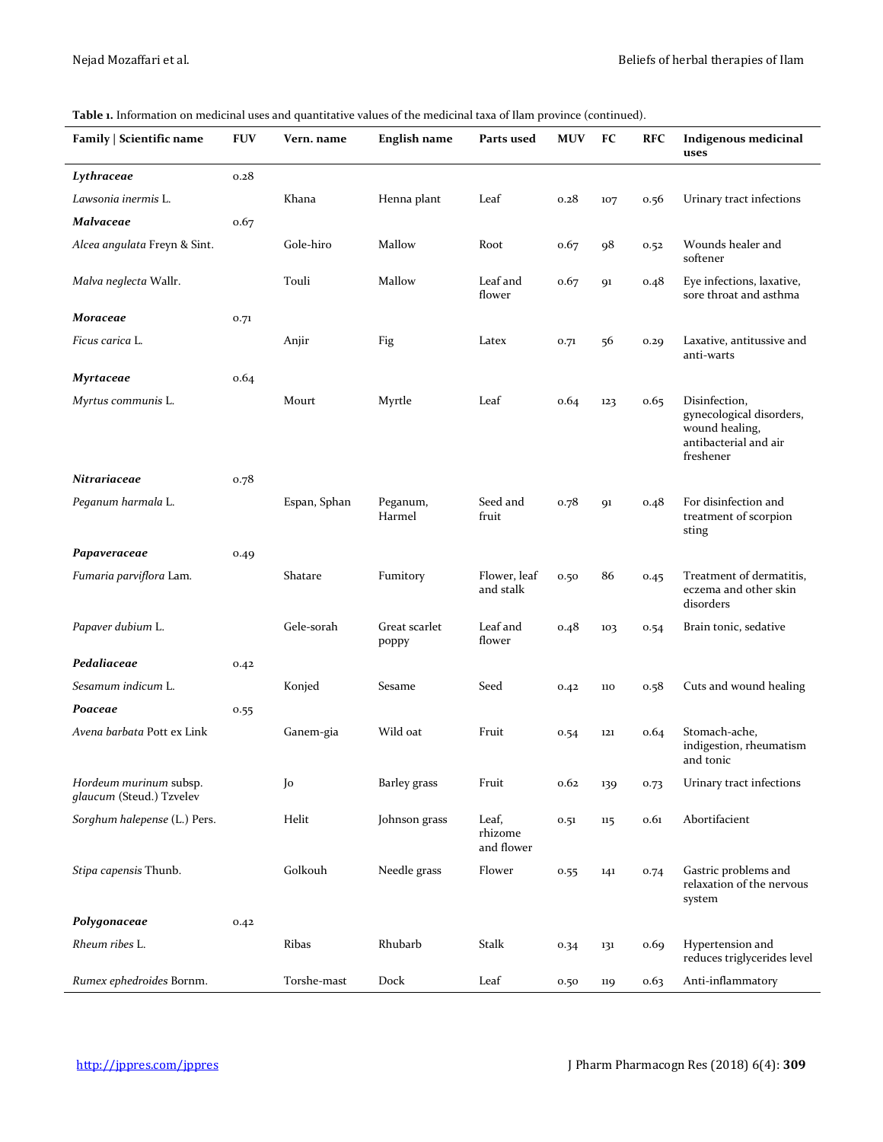#### **Family | Scientific name FUV Vern. name English name Parts used MUV FC RFC Indigenous medicinal uses** *Lythraceae* 0.28 *Lawsonia inermis* L. Khana Henna plant Leaf 0.28 107 0.56 Urinary tract infections *Malvaceae* 0.67 *Alcea angulata* Freyn & Sint. Gole-hiro Mallow Root 0.67 98 0.52 Wounds healer and softener *Malva neglecta* Wallr. Touli Mallow Leaf and flower 0.67 91 0.48 Eye infections, laxative, sore throat and asthma *Moraceae* 0.71 *Ficus carica L.* **EXALLACCC** Anjir Fig **Example 2.5 Latex 1.1**  $\sigma$ ,71 56 0.29 Laxative, antitussive and anti-warts *Myrtaceae* 0.64 *Myrtus communis* L. Mourt Myrtle Leaf 0.64 123 0.65 Disinfection, gynecological disorders, wound healing, antibacterial and air freshener *Nitrariaceae* 0.78 *Peganum harmala* L. Espan, Sphan Peganum, Harmel Seed and fruit 0.78 91 0.48 For disinfection and treatment of scorpion sting *Papaveraceae* 0.49 *Fumaria parviflora* Lam*.* Shatare Fumitory Flower, leaf and stalk 0.50 86 0.45 Treatment of dermatitis, eczema and other skin disorders Papaver dubium L. **CHE-SORIC Gele-sorah** Great scarlet poppy Leaf and flower 0.48 103 0.54 Brain tonic, sedative Pedaliaceae 0.42 *Sesamum indicum* L. Konjed Sesame Seed 0.42 110 0.58 Cuts and wound healing Poaceae 0.55 *Avena barbata* Pott ex Link Ganem-gia Wild oat Fruit 0.54 121 0.64 Stomach-ache, indigestion, rheumatism and tonic *Hordeum murinum* subsp. *glaucum* (Steud.) Tzvelev Jo Barley grass Fruit 0.62 139 0.73 Urinary tract infections *Sorghum halepense* (L.) Pers. Helit Johnson grass Leaf, rhizome and flower 0.51 115 0.61 Abortifacient *Stipa capensis* Thunb. Golkouh Needle grass Flower 0.55 141 0.74 Gastric problems and relaxation of the nervous system *Polygonaceae* 0.42 *Rheum ribes* L. Ribas Rhubarb Stalk 0.34 131 0.69 Hypertension and reduces triglycerides level *Rumex ephedroides* Bornm. Torshe-mast Dock Leaf 0.50 119 0.63 Anti-inflammatory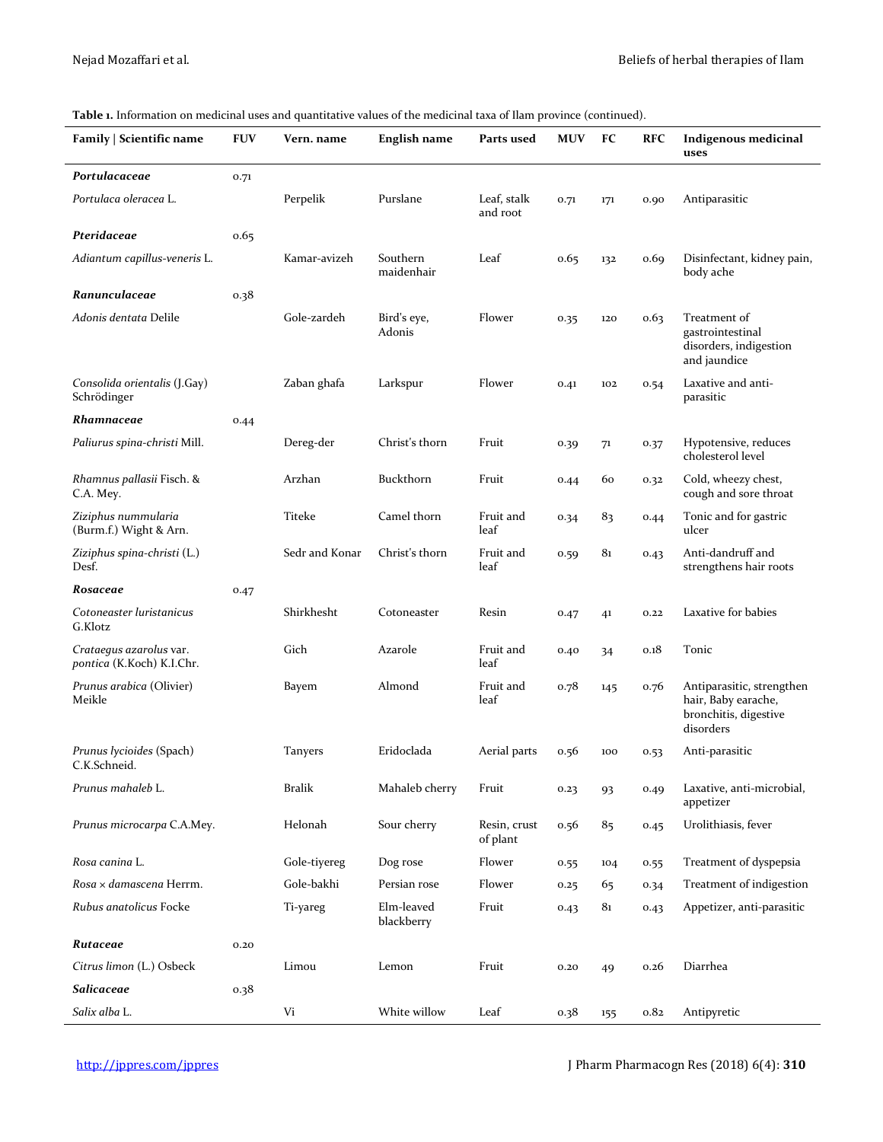| Family   Scientific name                             | <b>FUV</b> | Vern. name     | English name             | Parts used               | <b>MUV</b> | FC             | <b>RFC</b> | <b>Indigenous medicinal</b><br>uses                                                    |
|------------------------------------------------------|------------|----------------|--------------------------|--------------------------|------------|----------------|------------|----------------------------------------------------------------------------------------|
| Portulacaceae                                        | 0.71       |                |                          |                          |            |                |            |                                                                                        |
| Portulaca oleracea L.                                |            | Perpelik       | Purslane                 | Leaf, stalk<br>and root  | 0.71       | 171            | 0.90       | Antiparasitic                                                                          |
| Pteridaceae                                          | 0.65       |                |                          |                          |            |                |            |                                                                                        |
| Adiantum capillus-veneris L.                         |            | Kamar-avizeh   | Southern<br>maidenhair   | Leaf                     | 0.65       | 132            | 0.69       | Disinfectant, kidney pain,<br>body ache                                                |
| Ranunculaceae                                        | 0.38       |                |                          |                          |            |                |            |                                                                                        |
| Adonis dentata Delile                                |            | Gole-zardeh    | Bird's eye,<br>Adonis    | Flower                   | 0.35       | 120            | 0.63       | Treatment of<br>gastrointestinal<br>disorders, indigestion<br>and jaundice             |
| Consolida orientalis (J.Gay)<br>Schrödinger          |            | Zaban ghafa    | Larkspur                 | Flower                   | 0.41       | 102            | 0.54       | Laxative and anti-<br>parasitic                                                        |
| Rhamnaceae                                           | 0.44       |                |                          |                          |            |                |            |                                                                                        |
| Paliurus spina-christi Mill.                         |            | Dereg-der      | Christ's thorn           | Fruit                    | 0.39       | 71             | 0.37       | Hypotensive, reduces<br>cholesterol level                                              |
| Rhamnus pallasii Fisch. &<br>C.A. Mey.               |            | Arzhan         | Buckthorn                | Fruit                    | 0.44       | 60             | 0.32       | Cold, wheezy chest,<br>cough and sore throat                                           |
| Ziziphus nummularia<br>(Burm.f.) Wight & Arn.        |            | Titeke         | Camel thorn              | Fruit and<br>leaf        | 0.34       | 83             | 0.44       | Tonic and for gastric<br>ulcer                                                         |
| Ziziphus spina-christi (L.)<br>Desf.                 |            | Sedr and Konar | Christ's thorn           | Fruit and<br>leaf        | 0.59       | 81             | 0.43       | Anti-dandruff and<br>strengthens hair roots                                            |
| Rosaceae                                             | 0.47       |                |                          |                          |            |                |            |                                                                                        |
| Cotoneaster luristanicus<br>G.Klotz                  |            | Shirkhesht     | Cotoneaster              | Resin                    | 0.47       | 4 <sup>1</sup> | 0.22       | Laxative for babies                                                                    |
| Crataegus azarolus var.<br>pontica (K.Koch) K.I.Chr. |            | Gich           | Azarole                  | Fruit and<br>leaf        | 0.40       | 34             | 0.18       | Tonic                                                                                  |
| Prunus arabica (Olivier)<br>Meikle                   |            | Bayem          | Almond                   | Fruit and<br>leaf        | 0.78       | 145            | 0.76       | Antiparasitic, strengthen<br>hair, Baby earache,<br>bronchitis, digestive<br>disorders |
| Prunus lycioides (Spach)<br>C.K.Schneid.             |            | <b>Tanyers</b> | Eridoclada               | Aerial parts             | 0.56       | 100            | 0.53       | Anti-parasitic                                                                         |
| Prunus mahaleb L.                                    |            | <b>Bralik</b>  | Mahaleb cherry           | Fruit                    | 0.23       | 93             | 0.49       | Laxative, anti-microbial,<br>appetizer                                                 |
| Prunus microcarpa C.A.Mey.                           |            | Helonah        | Sour cherry              | Resin, crust<br>of plant | 0.56       | 85             | 0.45       | Urolithiasis, fever                                                                    |
| Rosa canina L.                                       |            | Gole-tiyereg   | Dog rose                 | Flower                   | 0.55       | 104            | 0.55       | Treatment of dyspepsia                                                                 |
| Rosa × damascena Herrm.                              |            | Gole-bakhi     | Persian rose             | Flower                   | 0.25       | 65             | 0.34       | Treatment of indigestion                                                               |
| Rubus anatolicus Focke                               |            | Ti-yareg       | Elm-leaved<br>blackberry | Fruit                    | 0.43       | 81             | 0.43       | Appetizer, anti-parasitic                                                              |
| Rutaceae                                             | 0.20       |                |                          |                          |            |                |            |                                                                                        |
| Citrus limon (L.) Osbeck                             |            | Limou          | Lemon                    | Fruit                    | 0.20       | 49             | 0.26       | Diarrhea                                                                               |
| Salicaceae                                           | 0.38       |                |                          |                          |            |                |            |                                                                                        |
| Salix alba L.                                        |            | Vi             | White willow             | Leaf                     | 0.38       | 155            | 0.82       | Antipyretic                                                                            |

 $\mathbf{r}$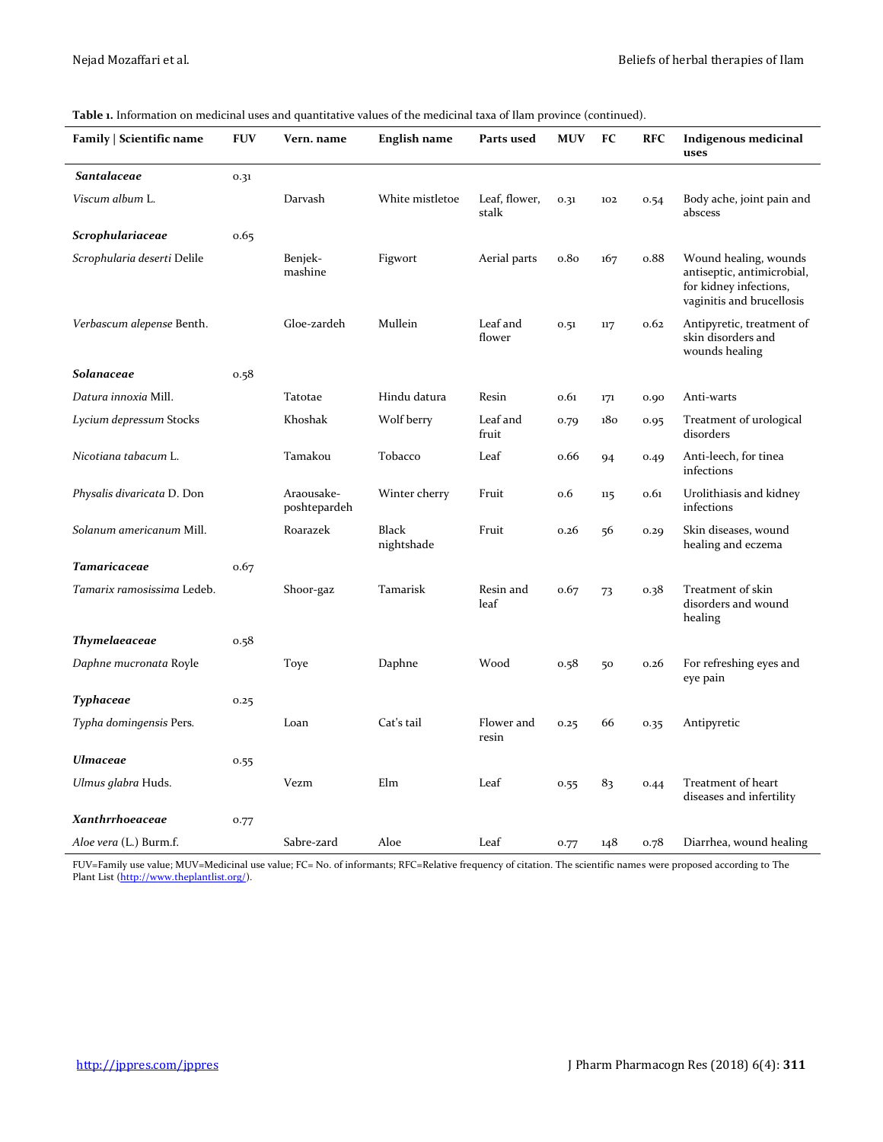| Family   Scientific name    | <b>FUV</b> | Vern. name                 | English name        | Parts used             | <b>MUV</b> | FC  | <b>RFC</b> | Indigenous medicinal<br>uses                                                                               |
|-----------------------------|------------|----------------------------|---------------------|------------------------|------------|-----|------------|------------------------------------------------------------------------------------------------------------|
| <b>Santalaceae</b>          | 0.31       |                            |                     |                        |            |     |            |                                                                                                            |
| Viscum album L.             |            | Darvash                    | White mistletoe     | Leaf, flower,<br>stalk | 0.31       | 102 | 0.54       | Body ache, joint pain and<br>abscess                                                                       |
| Scrophulariaceae            | 0.65       |                            |                     |                        |            |     |            |                                                                                                            |
| Scrophularia deserti Delile |            | Benjek-<br>mashine         | Figwort             | Aerial parts           | 0.80       | 167 | 0.88       | Wound healing, wounds<br>antiseptic, antimicrobial,<br>for kidney infections,<br>vaginitis and brucellosis |
| Verbascum alepense Benth.   |            | Gloe-zardeh                | Mullein             | Leaf and<br>flower     | 0.51       | 117 | 0.62       | Antipyretic, treatment of<br>skin disorders and<br>wounds healing                                          |
| Solanaceae                  | 0.58       |                            |                     |                        |            |     |            |                                                                                                            |
| Datura innoxia Mill.        |            | Tatotae                    | Hindu datura        | Resin                  | 0.61       | 171 | 0.90       | Anti-warts                                                                                                 |
| Lycium depressum Stocks     |            | Khoshak                    | Wolf berry          | Leaf and<br>fruit      | 0.79       | 180 | 0.95       | Treatment of urological<br>disorders                                                                       |
| Nicotiana tabacum L.        |            | Tamakou                    | Tobacco             | Leaf                   | 0.66       | 94  | 0.49       | Anti-leech, for tinea<br>infections                                                                        |
| Physalis divaricata D. Don  |            | Araousake-<br>poshtepardeh | Winter cherry       | Fruit                  | 0.6        | 115 | 0.61       | Urolithiasis and kidney<br>infections                                                                      |
| Solanum americanum Mill.    |            | Roarazek                   | Black<br>nightshade | Fruit                  | 0.26       | 56  | 0.29       | Skin diseases, wound<br>healing and eczema                                                                 |
| <b>Tamaricaceae</b>         | 0.67       |                            |                     |                        |            |     |            |                                                                                                            |
| Tamarix ramosissima Ledeb.  |            | Shoor-gaz                  | Tamarisk            | Resin and<br>leaf      | 0.67       | 73  | 0.38       | Treatment of skin<br>disorders and wound<br>healing                                                        |
| Thymelaeaceae               | 0.58       |                            |                     |                        |            |     |            |                                                                                                            |
| Daphne mucronata Royle      |            | Toye                       | Daphne              | Wood                   | 0.58       | 50  | 0.26       | For refreshing eyes and<br>eye pain                                                                        |
| Typhaceae                   | 0.25       |                            |                     |                        |            |     |            |                                                                                                            |
| Typha domingensis Pers.     |            | Loan                       | Cat's tail          | Flower and<br>resin    | 0.25       | 66  | 0.35       | Antipyretic                                                                                                |
| <b>Ulmaceae</b>             | 0.55       |                            |                     |                        |            |     |            |                                                                                                            |
| Ulmus glabra Huds.          |            | Vezm                       | Elm                 | Leaf                   | 0.55       | 83  | 0.44       | Treatment of heart<br>diseases and infertility                                                             |
| Xanthrrhoeaceae             | 0.77       |                            |                     |                        |            |     |            |                                                                                                            |
| Aloe vera (L.) Burm.f.      |            | Sabre-zard                 | Aloe                | Leaf                   | 0.77       | 148 | 0.78       | Diarrhea, wound healing                                                                                    |

FUV=Family use value; MUV=Medicinal use value; FC= No. of informants; RFC=Relative frequency of citation. The scientific names were proposed according to The Plant List [\(http://www.theplantlist.org/\)](http://www.theplantlist.org/).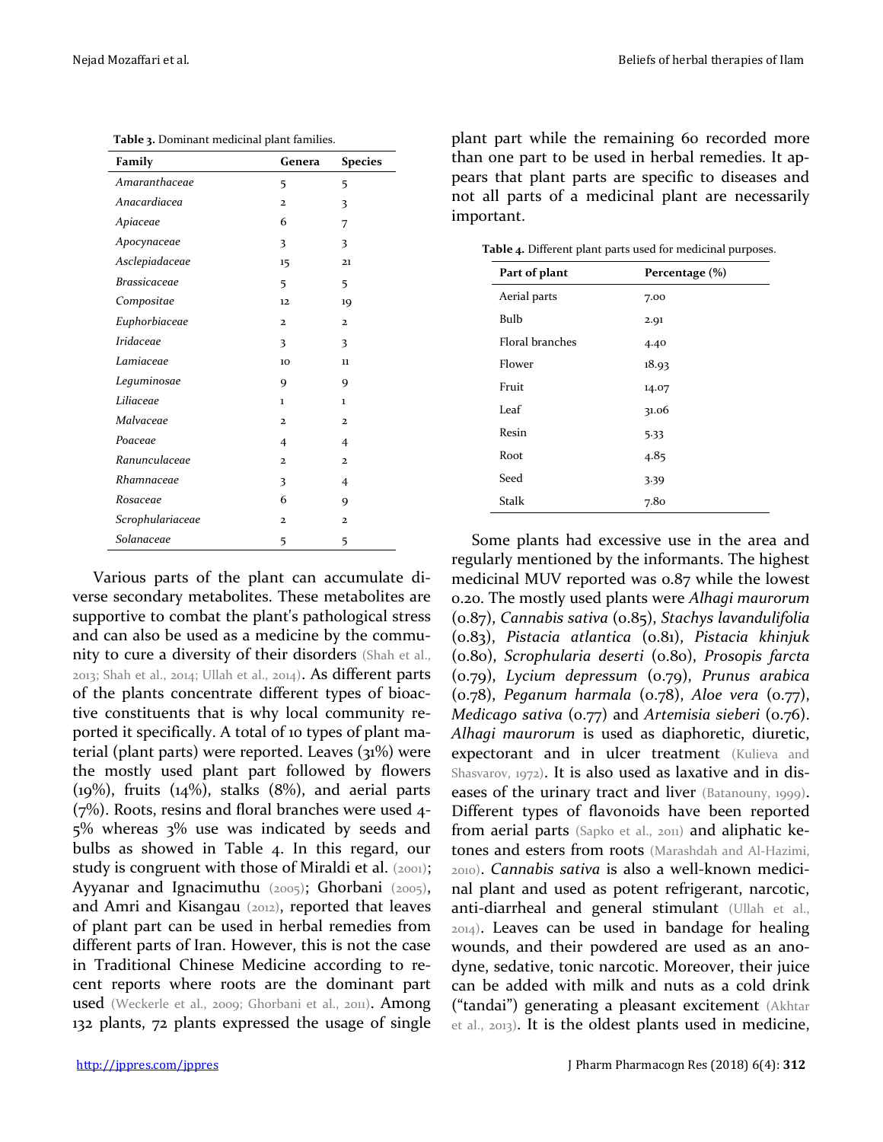| Family              | Genera                  | <b>Species</b>          |
|---------------------|-------------------------|-------------------------|
| Amaranthaceae       | 5                       | 5                       |
| Anacardiacea        | $\overline{\mathbf{c}}$ | 3                       |
| Apiaceae            | 6                       | 7                       |
| Apocynaceae         | 3                       | 3                       |
| Asclepiadaceae      | 15                      | 21                      |
| <b>Brassicaceae</b> | 5                       | 5                       |
| Compositae          | 12                      | 19                      |
| Euphorbiaceae       | $\overline{\mathbf{c}}$ | $\overline{\mathbf{2}}$ |
| Iridaceae           | 3                       | 3                       |
| Lamiaceae           | 10                      | 11                      |
| Leguminosae         | 9                       | 9                       |
| Liliaceae           | $\mathbf{1}$            | $\mathbf{1}$            |
| Malvaceae           | $\overline{\mathbf{c}}$ | $\overline{\mathbf{2}}$ |
| Poaceae             | $\overline{4}$          | 4                       |
| Ranunculaceae       | $\overline{2}$          | $\overline{\mathbf{c}}$ |
| Rhamnaceae          | 3                       | 4                       |
| Rosaceae            | 6                       | 9                       |
| Scrophulariaceae    | $\overline{2}$          | $\overline{\mathbf{c}}$ |
| Solanaceae          | 5                       | 5                       |

**Table 3.** Dominant medicinal plant families.

Various parts of the plant can accumulate diverse secondary metabolites. These metabolites are supportive to combat the plant's pathological stress and can also be used as a medicine by the community to cure a diversity of their disorders (Shah et al., 2013; Shah et al., 2014; Ullah et al., 2014). As different parts of the plants concentrate different types of bioactive constituents that is why local community reported it specifically. A total of 10 types of plant material (plant parts) were reported. Leaves (31%) were the mostly used plant part followed by flowers  $(19\%)$ , fruits  $(14\%)$ , stalks  $(8\%)$ , and aerial parts (7%). Roots, resins and floral branches were used 4- 5% whereas 3% use was indicated by seeds and bulbs as showed in Table 4. In this regard, our study is congruent with those of Miraldi et al. (2001); Ayyanar and Ignacimuthu (2005); Ghorbani (2005), and Amri and Kisangau (2012), reported that leaves of plant part can be used in herbal remedies from different parts of Iran. However, this is not the case in Traditional Chinese Medicine according to recent reports where roots are the dominant part used (Weckerle et al., 2009; Ghorbani et al., 2011). Among 132 plants, 72 plants expressed the usage of single plant part while the remaining 60 recorded more than one part to be used in herbal remedies. It appears that plant parts are specific to diseases and not all parts of a medicinal plant are necessarily important.

**Table 4.** Different plant parts used for medicinal purposes.

| Part of plant          | Percentage (%)   |
|------------------------|------------------|
| Aerial parts           | 7.00             |
| Bulb                   | 2.91             |
| <b>Floral branches</b> | 4.40             |
| Flower                 | 18.93            |
| Fruit                  | 14.07            |
| Leaf                   | 31.06            |
| Resin                  | 5.33             |
| Root                   | 4.85             |
| Seed                   | 3.39             |
| <b>Stalk</b>           | 7.8 <sub>0</sub> |

Some plants had excessive use in the area and regularly mentioned by the informants. The highest medicinal MUV reported was 0.87 while the lowest 0.20. The mostly used plants were *Alhagi maurorum*  (0.87), *Cannabis sativa* (0.85), *Stachys lavandulifolia* (0.83), *Pistacia atlantica* (0.81), *Pistacia khinjuk*  (0.80), *Scrophularia deserti* (0.80), *Prosopis farcta* (0.79), *Lycium depressum* (0.79), *Prunus arabica* (0.78), *Peganum harmala* (0.78), *Aloe vera* (0.77), *Medicago sativa* (0.77) and *Artemisia sieberi* (0.76). *Alhagi maurorum* is used as diaphoretic, diuretic, expectorant and in ulcer treatment (Kulieva and Shasvarov, 1972). It is also used as laxative and in diseases of the urinary tract and liver (Batanouny, 1999). Different types of flavonoids have been reported from aerial parts (Sapko et al., 2011) and aliphatic ketones and esters from roots (Marashdah and Al-Hazimi, 2010). *Cannabis sativa* is also a well-known medicinal plant and used as potent refrigerant, narcotic, anti-diarrheal and general stimulant (Ullah et al., 2014). Leaves can be used in bandage for healing wounds, and their powdered are used as an anodyne, sedative, tonic narcotic. Moreover, their juice can be added with milk and nuts as a cold drink ("tandai") generating a pleasant excitement (Akhtar et al., 2013). It is the oldest plants used in medicine,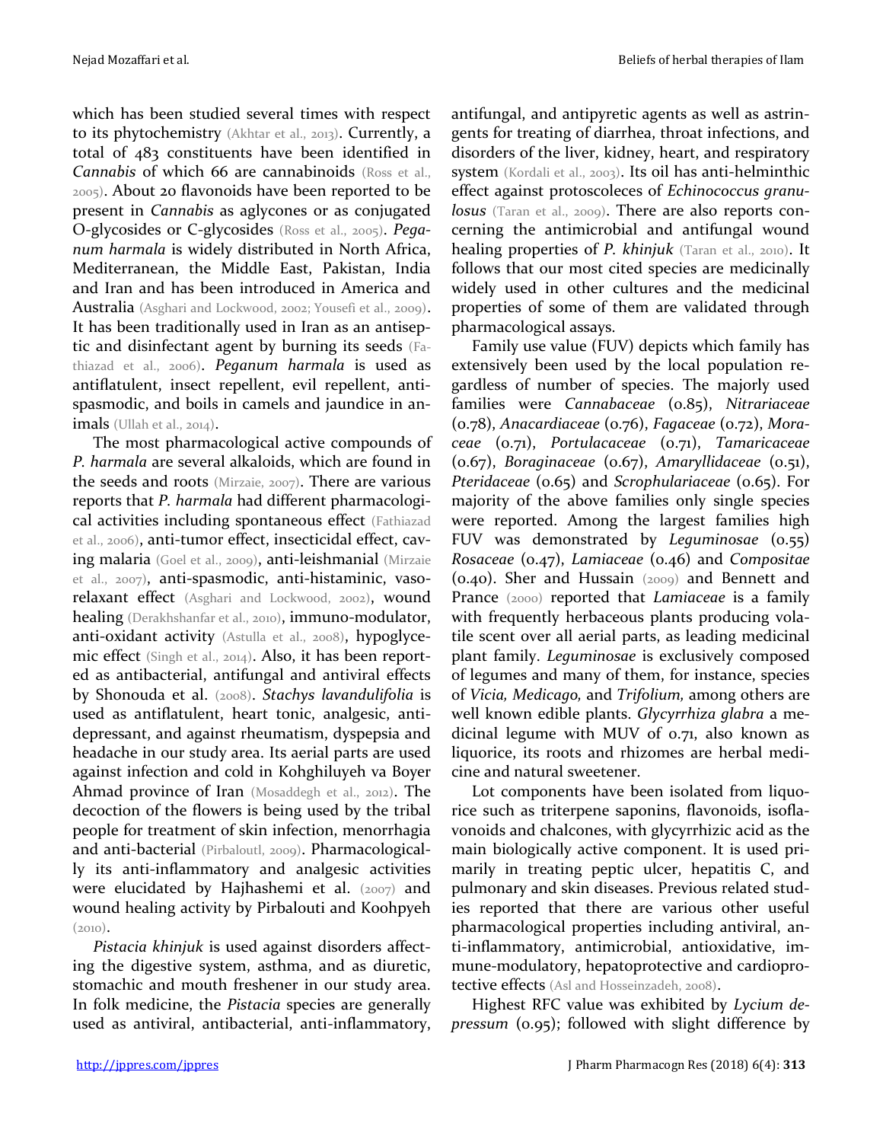which has been studied several times with respect to its phytochemistry (Akhtar et al., 2013). Currently, a total of 483 constituents have been identified in *Cannabis* of which 66 are cannabinoids (Ross et al., 2005). About 20 flavonoids have been reported to be present in *Cannabis* as aglycones or as conjugated O-glycosides or C-glycosides (Ross et al., 2005). *Peganum harmala* is widely distributed in North Africa, Mediterranean, the Middle East, Pakistan, India and Iran and has been introduced in America and Australia (Asghari and Lockwood, 2002; Yousefi et al., 2009). It has been traditionally used in Iran as an antiseptic and disinfectant agent by burning its seeds (Fathiazad et al., 2006). *Peganum harmala* is used as antiflatulent, insect repellent, evil repellent, antispasmodic, and boils in camels and jaundice in animals (Ullah et al., 2014).

The most pharmacological active compounds of *P. harmala* are several alkaloids, which are found in the seeds and roots (Mirzaie, 2007). There are various reports that *P. harmala* had different pharmacological activities including spontaneous effect (Fathiazad et al., 2006), anti-tumor effect, insecticidal effect, caving malaria (Goel et al., 2009), anti-leishmanial (Mirzaie et al., 2007), anti-spasmodic, anti-histaminic, vasorelaxant effect (Asghari and Lockwood, 2002), wound healing (Derakhshanfar et al., 2010), immuno-modulator, anti-oxidant activity (Astulla et al., 2008), hypoglycemic effect (Singh et al., 2014). Also, it has been reported as antibacterial, antifungal and antiviral effects by Shonouda et al. (2008). *Stachys lavandulifolia* is used as antiflatulent, heart tonic, analgesic, antidepressant, and against rheumatism, dyspepsia and headache in our study area. Its aerial parts are used against infection and cold in Kohghiluyeh va Boyer Ahmad province of Iran (Mosaddegh et al., 2012). The decoction of the flowers is being used by the tribal people for treatment of skin infection, menorrhagia and anti-bacterial (Pirbaloutl, 2009). Pharmacologically its anti-inflammatory and analgesic activities were elucidated by Hajhashemi et al. (2007) and wound healing activity by Pirbalouti and Koohpyeh (2010).

*Pistacia khinjuk* is used against disorders affecting the digestive system, asthma, and as diuretic, stomachic and mouth freshener in our study area. In folk medicine, the *Pistacia* species are generally used as antiviral, antibacterial, anti-inflammatory, antifungal, and antipyretic agents as well as astringents for treating of diarrhea, throat infections, and disorders of the liver, kidney, heart, and respiratory system (Kordali et al., 2003). Its oil has anti-helminthic effect against protoscoleces of *Echinococcus granulosus* (Taran et al., 2009). There are also reports concerning the antimicrobial and antifungal wound healing properties of *P. khinjuk* (Taran et al., 2010). It follows that our most cited species are medicinally widely used in other cultures and the medicinal properties of some of them are validated through pharmacological assays.

Family use value (FUV) depicts which family has extensively been used by the local population regardless of number of species. The majorly used families were *Cannabaceae* (0.85), *Nitrariaceae* (0.78), *Anacardiaceae* (0.76), *Fagaceae* (0.72), *Moraceae* (0.71), *Portulacaceae* (0.71), *Tamaricaceae* (0.67), *Boraginaceae* (0.67), *Amaryllidaceae* (0.51), *Pteridaceae* (0.65) and *Scrophulariaceae* (0.65). For majority of the above families only single species were reported. Among the largest families high FUV was demonstrated by *Leguminosae* (0.55) *Rosaceae* (0.47), *Lamiaceae* (0.46) and *Compositae* (0.40). Sher and Hussain (2009) and Bennett and Prance (2000) reported that *Lamiaceae* is a family with frequently herbaceous plants producing volatile scent over all aerial parts, as leading medicinal plant family. *Leguminosae* is exclusively composed of legumes and many of them, for instance, species of *Vicia, Medicago,* and *Trifolium,* among others are well known edible plants. *Glycyrrhiza glabra* a medicinal legume with MUV of 0.71, also known as liquorice, its roots and rhizomes are herbal medicine and natural sweetener.

Lot components have been isolated from liquorice such as triterpene saponins, flavonoids, isoflavonoids and chalcones, with glycyrrhizic acid as the main biologically active component. It is used primarily in treating peptic ulcer, hepatitis C, and pulmonary and skin diseases. Previous related studies reported that there are various other useful pharmacological properties including antiviral, anti-inflammatory, antimicrobial, antioxidative, immune-modulatory, hepatoprotective and cardioprotective effects (Asl and Hosseinzadeh, 2008).

Highest RFC value was exhibited by *Lycium depressum* (0.95); followed with slight difference by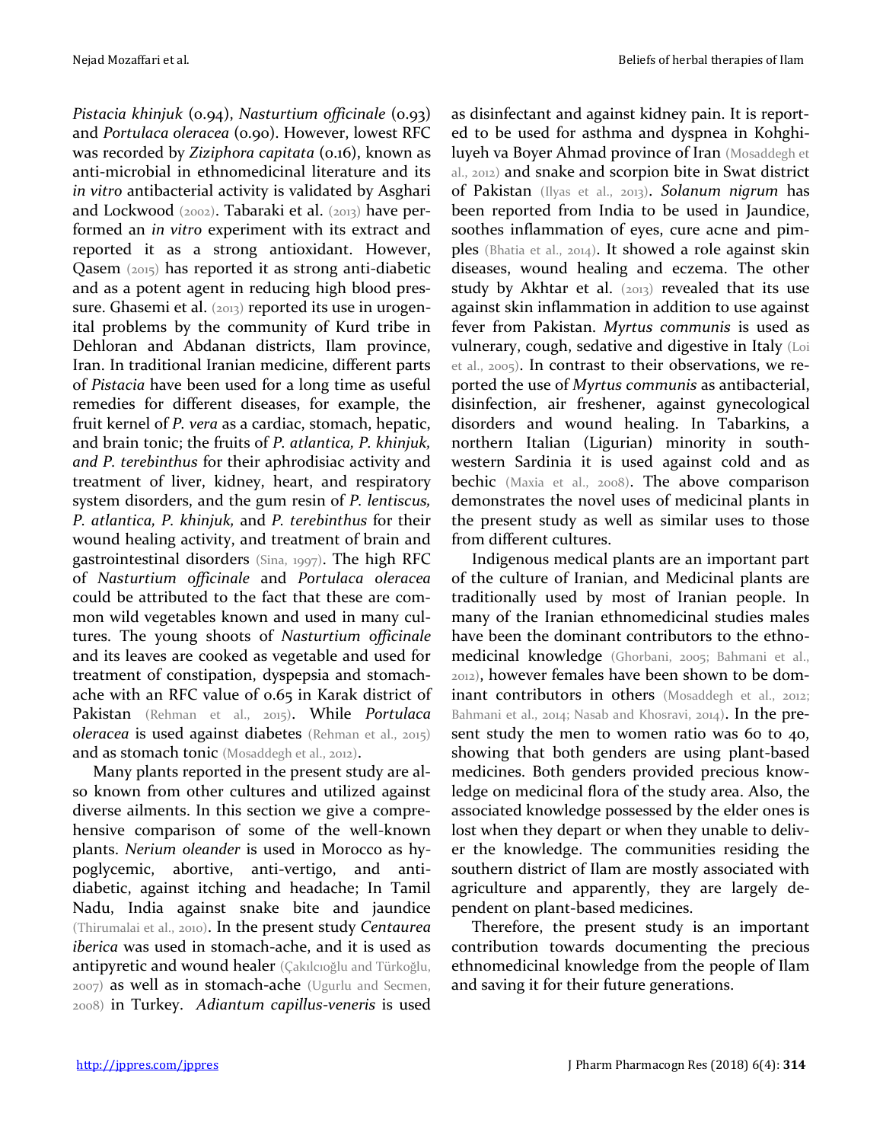*Pistacia khinjuk* (0.94), *Nasturtium officinale* (0.93) and *Portulaca oleracea* (0.90). However, lowest RFC was recorded by *Ziziphora capitata* (0.16), known as anti-microbial in ethnomedicinal literature and its *in vitro* antibacterial activity is validated by Asghari and Lockwood (2002). Tabaraki et al. (2013) have performed an *in vitro* experiment with its extract and reported it as a strong antioxidant. However, Qasem (2015) has reported it as strong anti-diabetic and as a potent agent in reducing high blood pressure. Ghasemi et al. (2013) reported its use in urogenital problems by the community of Kurd tribe in Dehloran and Abdanan districts, Ilam province, Iran. In traditional Iranian medicine, different parts of *Pistacia* have been used for a long time as useful remedies for different diseases, for example, the fruit kernel of *P. vera* as a cardiac, stomach, hepatic, and brain tonic; the fruits of *P. atlantica, P. khinjuk, and P. terebinthus* for their aphrodisiac activity and treatment of liver, kidney, heart, and respiratory system disorders, and the gum resin of *P. lentiscus, P. atlantica, P. khinjuk,* and *P. terebinthus* for their wound healing activity, and treatment of brain and gastrointestinal disorders (Sina, 1997). The high RFC of *Nasturtium officinale* and *Portulaca oleracea*  could be attributed to the fact that these are common wild vegetables known and used in many cultures. The young shoots of *Nasturtium officinale* and its leaves are cooked as vegetable and used for treatment of constipation, dyspepsia and stomachache with an RFC value of 0.65 in Karak district of Pakistan (Rehman et al., 2015). While *Portulaca oleracea* is used against diabetes (Rehman et al., 2015) and as stomach tonic (Mosaddegh et al., 2012).

Many plants reported in the present study are also known from other cultures and utilized against diverse ailments. In this section we give a comprehensive comparison of some of the well-known plants. *Nerium oleander* is used in Morocco as hypoglycemic, abortive, anti-vertigo, and antidiabetic, against itching and headache; In Tamil Nadu, India against snake bite and jaundice (Thirumalai et al., 2010). In the present study *Centaurea iberica* was used in stomach-ache, and it is used as antipyretic and wound healer (Çakılcıoğlu and Türkoğlu, 2007) as well as in stomach-ache (Ugurlu and Secmen, 2008) in Turkey. *Adiantum capillus-veneris* is used

as disinfectant and against kidney pain. It is reported to be used for asthma and dyspnea in Kohghiluyeh va Boyer Ahmad province of Iran (Mosaddegh et al., 2012) and snake and scorpion bite in Swat district of Pakistan (Ilyas et al., 2013). *Solanum nigrum* has been reported from India to be used in Jaundice, soothes inflammation of eyes, cure acne and pimples (Bhatia et al., 2014). It showed a role against skin diseases, wound healing and eczema. The other study by Akhtar et al. (2013) revealed that its use against skin inflammation in addition to use against fever from Pakistan. *Myrtus communis* is used as vulnerary, cough, sedative and digestive in Italy (Loi et al., 2005). In contrast to their observations, we reported the use of *Myrtus communis* as antibacterial, disinfection, air freshener, against gynecological disorders and wound healing. In Tabarkins, a northern Italian (Ligurian) minority in southwestern Sardinia it is used against cold and as bechic (Maxia et al., 2008). The above comparison demonstrates the novel uses of medicinal plants in the present study as well as similar uses to those from different cultures.

Indigenous medical plants are an important part of the culture of Iranian, and Medicinal plants are traditionally used by most of Iranian people. In many of the Iranian ethnomedicinal studies males have been the dominant contributors to the ethnomedicinal knowledge (Ghorbani, 2005; Bahmani et al., 2012), however females have been shown to be dominant contributors in others (Mosaddegh et al., 2012; Bahmani et al., 2014; Nasab and Khosravi, 2014). In the present study the men to women ratio was 60 to 40, showing that both genders are using plant-based medicines. Both genders provided precious knowledge on medicinal flora of the study area. Also, the associated knowledge possessed by the elder ones is lost when they depart or when they unable to deliver the knowledge. The communities residing the southern district of Ilam are mostly associated with agriculture and apparently, they are largely dependent on plant-based medicines.

Therefore, the present study is an important contribution towards documenting the precious ethnomedicinal knowledge from the people of Ilam and saving it for their future generations.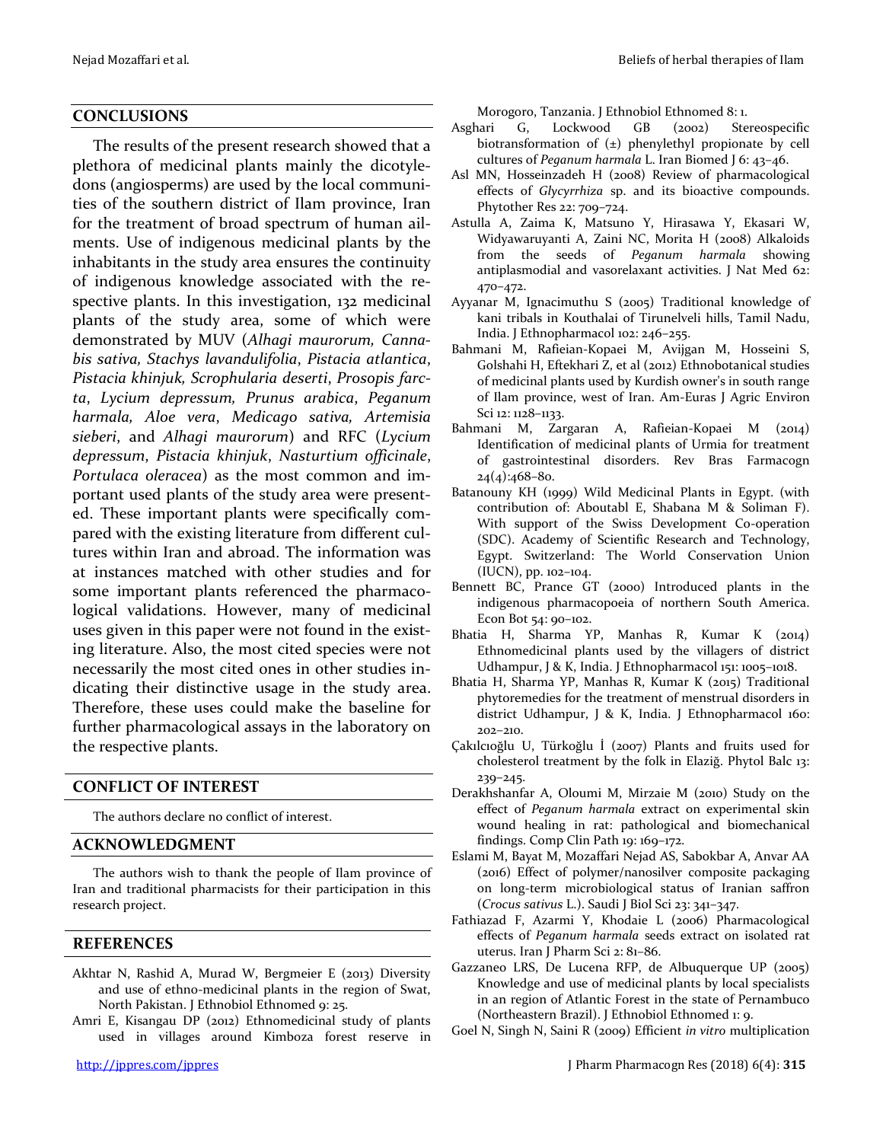### **CONCLUSIONS**

The results of the present research showed that a plethora of medicinal plants mainly the dicotyledons (angiosperms) are used by the local communities of the southern district of Ilam province, Iran for the treatment of broad spectrum of human ailments. Use of indigenous medicinal plants by the inhabitants in the study area ensures the continuity of indigenous knowledge associated with the respective plants. In this investigation, 132 medicinal plants of the study area, some of which were demonstrated by MUV (*Alhagi maurorum, Cannabis sativa, Stachys lavandulifolia*, *Pistacia atlantica*, *Pistacia khinjuk, Scrophularia deserti*, *Prosopis farcta*, *Lycium depressum, Prunus arabica*, *Peganum harmala, Aloe vera*, *Medicago sativa, Artemisia sieberi*, and *Alhagi maurorum*) and RFC (*Lycium depressum*, *Pistacia khinjuk*, *Nasturtium officinale*, *Portulaca oleracea*) as the most common and important used plants of the study area were presented. These important plants were specifically compared with the existing literature from different cultures within Iran and abroad. The information was at instances matched with other studies and for some important plants referenced the pharmacological validations. However, many of medicinal uses given in this paper were not found in the existing literature. Also, the most cited species were not necessarily the most cited ones in other studies indicating their distinctive usage in the study area. Therefore, these uses could make the baseline for further pharmacological assays in the laboratory on the respective plants.

#### **CONFLICT OF INTEREST**

The authors declare no conflict of interest.

#### **ACKNOWLEDGMENT**

The authors wish to thank the people of Ilam province of Iran and traditional pharmacists for their participation in this research project.

#### **REFERENCES**

- Akhtar N, Rashid A, Murad W, Bergmeier E (2013) Diversity and use of ethno-medicinal plants in the region of Swat, North Pakistan. J Ethnobiol Ethnomed 9: 25.
- Amri E, Kisangau DP (2012) Ethnomedicinal study of plants used in villages around Kimboza forest reserve in

Morogoro, Tanzania. J Ethnobiol Ethnomed 8: 1.

- Asghari G, Lockwood GB (2002) Stereospecific biotransformation of (±) phenylethyl propionate by cell cultures of *Peganum harmala* L. Iran Biomed J 6: 43–46.
- Asl MN, Hosseinzadeh H (2008) Review of pharmacological effects of *Glycyrrhiza* sp. and its bioactive compounds. Phytother Res 22: 709–724.
- Astulla A, Zaima K, Matsuno Y, Hirasawa Y, Ekasari W, Widyawaruyanti A, Zaini NC, Morita H (2008) Alkaloids from the seeds of *Peganum harmala* showing antiplasmodial and vasorelaxant activities. J Nat Med 62: 470–472.
- Ayyanar M, Ignacimuthu S (2005) Traditional knowledge of kani tribals in Kouthalai of Tirunelveli hills, Tamil Nadu, India. J Ethnopharmacol 102: 246–255.
- Bahmani M, Rafieian-Kopaei M, Avijgan M, Hosseini S, Golshahi H, Eftekhari Z, et al (2012) Ethnobotanical studies of medicinal plants used by Kurdish owner's in south range of Ilam province, west of Iran. Am-Euras J Agric Environ Sci 12: 1128–1133.
- Bahmani M, Zargaran A, Rafieian-Kopaei M (2014) Identification of medicinal plants of Urmia for treatment of gastrointestinal disorders. Rev Bras Farmacogn  $24(4):468-80.$
- Batanouny KH (1999) Wild Medicinal Plants in Egypt. (with contribution of: Aboutabl E, Shabana M & Soliman F). With support of the Swiss Development Co-operation (SDC). Academy of Scientific Research and Technology, Egypt. Switzerland: The World Conservation Union (IUCN), pp. 102–104.
- Bennett BC, Prance GT (2000) Introduced plants in the indigenous pharmacopoeia of northern South America. Econ Bot 54: 90–102.
- Bhatia H, Sharma YP, Manhas R, Kumar K (2014) Ethnomedicinal plants used by the villagers of district Udhampur, J & K, India. J Ethnopharmacol 151: 1005–1018.
- Bhatia H, Sharma YP, Manhas R, Kumar K (2015) Traditional phytoremedies for the treatment of menstrual disorders in district Udhampur, J & K, India. J Ethnopharmacol 160: 202–210.
- Çakılcıoğlu U, Türkoğlu İ (2007) Plants and fruits used for cholesterol treatment by the folk in Elaziğ. Phytol Balc 13: 239–245.
- Derakhshanfar A, Oloumi M, Mirzaie M (2010) Study on the effect of *Peganum harmala* extract on experimental skin wound healing in rat: pathological and biomechanical findings. Comp Clin Path 19: 169–172.
- Eslami M, Bayat M, Mozaffari Nejad AS, Sabokbar A, Anvar AA (2016) Effect of polymer/nanosilver composite packaging on long-term microbiological status of Iranian saffron (*Crocus sativus* L.). Saudi J Biol Sci 23: 341–347.
- Fathiazad F, Azarmi Y, Khodaie L (2006) Pharmacological effects of *Peganum harmala* seeds extract on isolated rat uterus. Iran J Pharm Sci 2: 81–86.
- Gazzaneo LRS, De Lucena RFP, de Albuquerque UP (2005) Knowledge and use of medicinal plants by local specialists in an region of Atlantic Forest in the state of Pernambuco (Northeastern Brazil). J Ethnobiol Ethnomed 1: 9.
- Goel N, Singh N, Saini R (2009) Efficient *in vitro* multiplication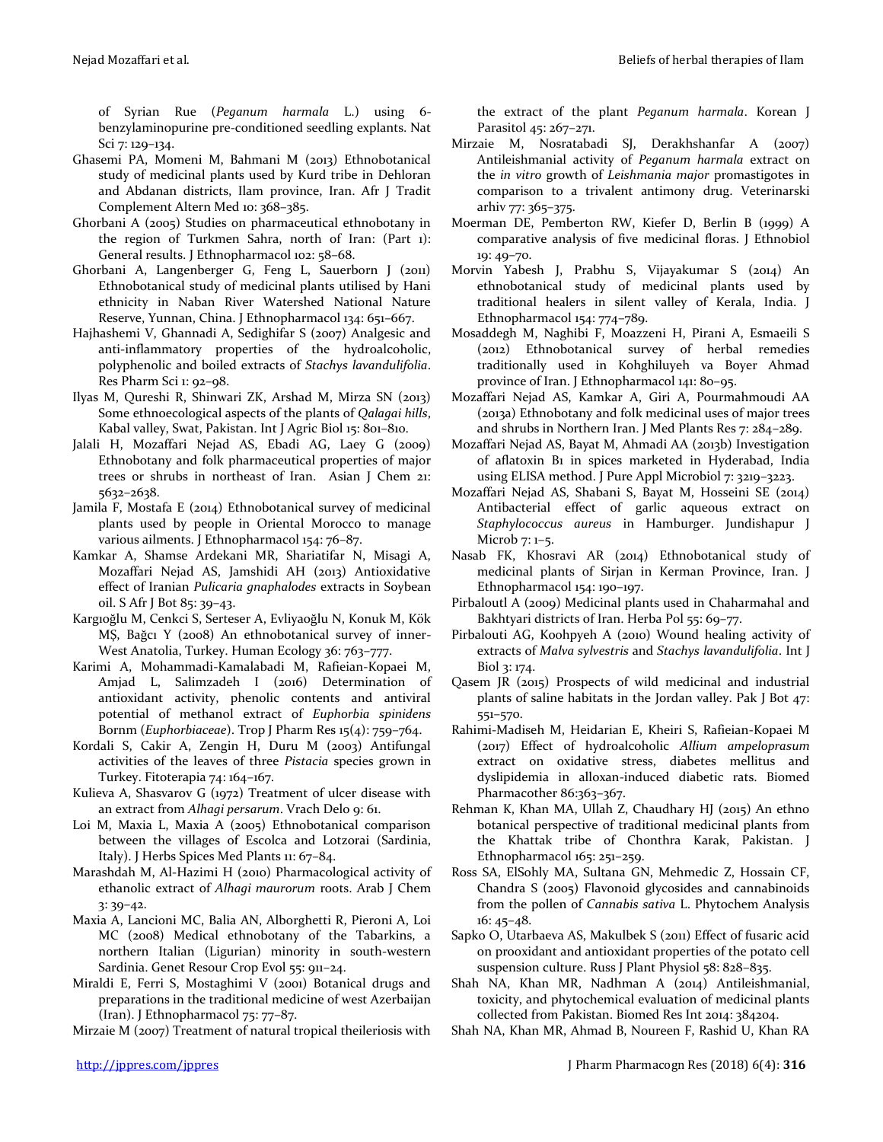of Syrian Rue (*Peganum harmala* L.) using 6 benzylaminopurine pre-conditioned seedling explants. Nat Sci 7: 129–134.

- Ghasemi PA, Momeni M, Bahmani M (2013) Ethnobotanical study of medicinal plants used by Kurd tribe in Dehloran and Abdanan districts, Ilam province, Iran. Afr J Tradit Complement Altern Med 10: 368–385.
- Ghorbani A (2005) Studies on pharmaceutical ethnobotany in the region of Turkmen Sahra, north of Iran: (Part 1): General results. J Ethnopharmacol 102: 58–68.
- Ghorbani A, Langenberger G, Feng L, Sauerborn J (2011) Ethnobotanical study of medicinal plants utilised by Hani ethnicity in Naban River Watershed National Nature Reserve, Yunnan, China. J Ethnopharmacol 134: 651–667.
- Hajhashemi V, Ghannadi A, Sedighifar S (2007) Analgesic and anti-inflammatory properties of the hydroalcoholic, polyphenolic and boiled extracts of *Stachys lavandulifolia*. Res Pharm Sci 1: 92–98.
- Ilyas M, Qureshi R, Shinwari ZK, Arshad M, Mirza SN (2013) Some ethnoecological aspects of the plants of *Qalagai hills*, Kabal valley, Swat, Pakistan. Int J Agric Biol 15: 801–810.
- Jalali H, Mozaffari Nejad AS, Ebadi AG, Laey G (2009) Ethnobotany and folk pharmaceutical properties of major trees or shrubs in northeast of Iran. Asian J Chem 21: 5632–2638.
- Jamila F, Mostafa E (2014) Ethnobotanical survey of medicinal plants used by people in Oriental Morocco to manage various ailments. J Ethnopharmacol 154: 76–87.
- Kamkar A, Shamse Ardekani MR, Shariatifar N, Misagi A, Mozaffari Nejad AS, Jamshidi AH (2013) Antioxidative effect of Iranian *Pulicaria gnaphalodes* extracts in Soybean oil. S Afr J Bot 85: 39–43.
- Kargıoğlu M, Cenkci S, Serteser A, Evliyaoğlu N, Konuk M, Kök MŞ, Bağcı Y (2008) An ethnobotanical survey of inner-West Anatolia, Turkey. Human Ecology 36: 763–777.
- Karimi A, Mohammadi-Kamalabadi M, Rafieian-Kopaei M, Amjad L, Salimzadeh I (2016) Determination of antioxidant activity, phenolic contents and antiviral potential of methanol extract of *Euphorbia spinidens* Bornm (*Euphorbiaceae*). Trop J Pharm Res 15(4): 759–764.
- Kordali S, Cakir A, Zengin H, Duru M (2003) Antifungal activities of the leaves of three *Pistacia* species grown in Turkey. Fitoterapia 74: 164–167.
- Kulieva A, Shasvarov G (1972) Treatment of ulcer disease with an extract from *Alhagi persarum*. Vrach Delo 9: 61.
- Loi M, Maxia L, Maxia A (2005) Ethnobotanical comparison between the villages of Escolca and Lotzorai (Sardinia, Italy). J Herbs Spices Med Plants 11: 67–84.
- Marashdah M, Al-Hazimi H (2010) Pharmacological activity of ethanolic extract of *Alhagi maurorum* roots. Arab J Chem 3: 39–42.
- Maxia A, Lancioni MC, Balia AN, Alborghetti R, Pieroni A, Loi MC (2008) Medical ethnobotany of the Tabarkins, a northern Italian (Ligurian) minority in south-western Sardinia. Genet Resour Crop Evol 55: 911–24.
- Miraldi E, Ferri S, Mostaghimi V (2001) Botanical drugs and preparations in the traditional medicine of west Azerbaijan (Iran). J Ethnopharmacol 75: 77–87.

Mirzaie M (2007) Treatment of natural tropical theileriosis with

the extract of the plant *Peganum harmala*. Korean J Parasitol 45: 267–271.

- Mirzaie M, Nosratabadi SJ, Derakhshanfar A (2007) Antileishmanial activity of *Peganum harmala* extract on the *in vitro* growth of *Leishmania major* promastigotes in comparison to a trivalent antimony drug. Veterinarski arhiv 77: 365–375.
- Moerman DE, Pemberton RW, Kiefer D, Berlin B (1999) A comparative analysis of five medicinal floras. J Ethnobiol 19: 49–70.
- Morvin Yabesh J, Prabhu S, Vijayakumar S (2014) An ethnobotanical study of medicinal plants used by traditional healers in silent valley of Kerala, India. J Ethnopharmacol 154: 774–789.
- Mosaddegh M, Naghibi F, Moazzeni H, Pirani A, Esmaeili S (2012) Ethnobotanical survey of herbal remedies traditionally used in Kohghiluyeh va Boyer Ahmad province of Iran. J Ethnopharmacol 141: 80–95.
- Mozaffari Nejad AS, Kamkar A, Giri A, Pourmahmoudi AA (2013a) Ethnobotany and folk medicinal uses of major trees and shrubs in Northern Iran. J Med Plants Res 7: 284–289.
- Mozaffari Nejad AS, Bayat M, Ahmadi AA (2013b) Investigation of aflatoxin B1 in spices marketed in Hyderabad, India using ELISA method. J Pure Appl Microbiol 7: 3219–3223.
- Mozaffari Nejad AS, Shabani S, Bayat M, Hosseini SE (2014) Antibacterial effect of garlic aqueous extract on *Staphylococcus aureus* in Hamburger. Jundishapur J Microb 7: 1–5.
- Nasab FK, Khosravi AR (2014) Ethnobotanical study of medicinal plants of Sirjan in Kerman Province, Iran. J Ethnopharmacol 154: 190–197.
- Pirbaloutl A (2009) Medicinal plants used in Chaharmahal and Bakhtyari districts of Iran. Herba Pol 55: 69–77.
- Pirbalouti AG, Koohpyeh A (2010) Wound healing activity of extracts of *Malva sylvestris* and *Stachys lavandulifolia*. Int J Biol 3: 174.
- Qasem JR (2015) Prospects of wild medicinal and industrial plants of saline habitats in the Jordan valley. Pak J Bot 47: 551–570.
- Rahimi-Madiseh M, Heidarian E, Kheiri S, Rafieian-Kopaei M (2017) Effect of hydroalcoholic *Allium ampeloprasum* extract on oxidative stress, diabetes mellitus and dyslipidemia in alloxan-induced diabetic rats. Biomed Pharmacother 86:363-367.
- Rehman K, Khan MA, Ullah Z, Chaudhary HJ (2015) An ethno botanical perspective of traditional medicinal plants from the Khattak tribe of Chonthra Karak, Pakistan. J Ethnopharmacol 165: 251–259.
- Ross SA, ElSohly MA, Sultana GN, Mehmedic Z, Hossain CF, Chandra S (2005) Flavonoid glycosides and cannabinoids from the pollen of *Cannabis sativa* L. Phytochem Analysis 16: 45–48.
- Sapko O, Utarbaeva AS, Makulbek S (2011) Effect of fusaric acid on prooxidant and antioxidant properties of the potato cell suspension culture. Russ J Plant Physiol 58: 828–835.
- Shah NA, Khan MR, Nadhman A (2014) Antileishmanial, toxicity, and phytochemical evaluation of medicinal plants collected from Pakistan. Biomed Res Int 2014: 384204.
- Shah NA, Khan MR, Ahmad B, Noureen F, Rashid U, Khan RA